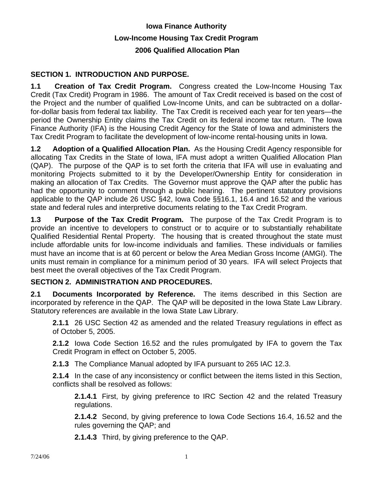# **Iowa Finance Authority Low-Income Housing Tax Credit Program 2006 Qualified Allocation Plan**

# **SECTION 1. INTRODUCTION AND PURPOSE.**

**1.1 Creation of Tax Credit Program.** Congress created the Low-Income Housing Tax Credit (Tax Credit) Program in 1986. The amount of Tax Credit received is based on the cost of the Project and the number of qualified Low-Income Units, and can be subtracted on a dollarfor-dollar basis from federal tax liability. The Tax Credit is received each year for ten years—the period the Ownership Entity claims the Tax Credit on its federal income tax return. The Iowa Finance Authority (IFA) is the Housing Credit Agency for the State of Iowa and administers the Tax Credit Program to facilitate the development of low-income rental-housing units in Iowa.

**1.2 Adoption of a Qualified Allocation Plan.** As the Housing Credit Agency responsible for allocating Tax Credits in the State of Iowa, IFA must adopt a written Qualified Allocation Plan (QAP). The purpose of the QAP is to set forth the criteria that IFA will use in evaluating and monitoring Projects submitted to it by the Developer/Ownership Entity for consideration in making an allocation of Tax Credits. The Governor must approve the QAP after the public has had the opportunity to comment through a public hearing. The pertinent statutory provisions applicable to the QAP include 26 USC §42, Iowa Code §§16.1, 16.4 and 16.52 and the various state and federal rules and interpretive documents relating to the Tax Credit Program.

**1.3 Purpose of the Tax Credit Program.** The purpose of the Tax Credit Program is to provide an incentive to developers to construct or to acquire or to substantially rehabilitate Qualified Residential Rental Property. The housing that is created throughout the state must include affordable units for low-income individuals and families. These individuals or families must have an income that is at 60 percent or below the Area Median Gross Income (AMGI). The units must remain in compliance for a minimum period of 30 years. IFA will select Projects that best meet the overall objectives of the Tax Credit Program.

# **SECTION 2. ADMINISTRATION AND PROCEDURES.**

**2.1 Documents Incorporated by Reference.** The items described in this Section are incorporated by reference in the QAP. The QAP will be deposited in the Iowa State Law Library. Statutory references are available in the Iowa State Law Library.

**2.1.1** 26 USC Section 42 as amended and the related Treasury regulations in effect as of October 5, 2005.

**2.1.2** Iowa Code Section 16.52 and the rules promulgated by IFA to govern the Tax Credit Program in effect on October 5, 2005.

**2.1.3** The Compliance Manual adopted by IFA pursuant to 265 IAC 12.3.

**2.1.4** In the case of any inconsistency or conflict between the items listed in this Section, conflicts shall be resolved as follows:

**2.1.4.1** First, by giving preference to IRC Section 42 and the related Treasury regulations.

**2.1.4.2** Second, by giving preference to Iowa Code Sections 16.4, 16.52 and the rules governing the QAP; and

**2.1.4.3** Third, by giving preference to the QAP.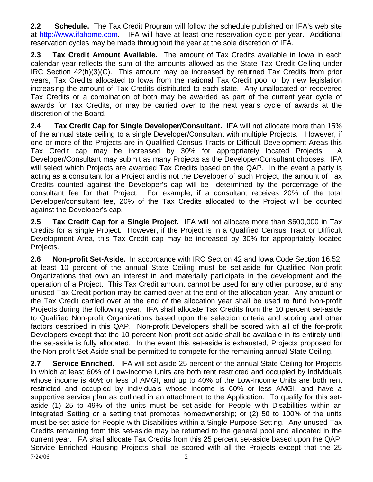**2.2 Schedule.** The Tax Credit Program will follow the schedule published on IFA's web site at http://www.ifahome.com. IFA will have at least one reservation cycle per year. Additional reservation cycles may be made throughout the year at the sole discretion of IFA.

**2.3 Tax Credit Amount Available.** The amount of Tax Credits available in Iowa in each calendar year reflects the sum of the amounts allowed as the State Tax Credit Ceiling under IRC Section 42(h)(3)(C). This amount may be increased by returned Tax Credits from prior years, Tax Credits allocated to Iowa from the national Tax Credit pool or by new legislation increasing the amount of Tax Credits distributed to each state.Any unallocated or recovered Tax Credits or a combination of both may be awarded as part of the current year cycle of awards for Tax Credits, or may be carried over to the next year's cycle of awards at the discretion of the Board.

**2.4 Tax Credit Cap for Single Developer/Consultant.** IFA will not allocate more than 15% of the annual state ceiling to a single Developer/Consultant with multiple Projects. However, if one or more of the Projects are in Qualified Census Tracts or Difficult Development Areas this Tax Credit cap may be increased by 30% for appropriately located Projects. A Developer/Consultant may submit as many Projects as the Developer/Consultant chooses. IFA will select which Projects are awarded Tax Credits based on the QAP. In the event a party is acting as a consultant for a Project and is not the Developer of such Project, the amount of Tax Credits counted against the Developer's cap will be determined by the percentage of the consultant fee for that Project. For example, if a consultant receives 20% of the total Developer/consultant fee, 20% of the Tax Credits allocated to the Project will be counted against the Developer's cap.

**2.5 Tax Credit Cap for a Single Project.** IFA will not allocate more than \$600,000 in Tax Credits for a single Project. However, if the Project is in a Qualified Census Tract or Difficult Development Area, this Tax Credit cap may be increased by 30% for appropriately located Projects.

**2.6 Non-profit Set-Aside.** In accordance with IRC Section 42 and Iowa Code Section 16.52, at least 10 percent of the annual State Ceiling must be set-aside for Qualified Non-profit Organizations that own an interest in and materially participate in the development and the operation of a Project. This Tax Credit amount cannot be used for any other purpose, and any unused Tax Credit portion may be carried over at the end of the allocation year. Any amount of the Tax Credit carried over at the end of the allocation year shall be used to fund Non-profit Projects during the following year. IFA shall allocate Tax Credits from the 10 percent set-aside to Qualified Non-profit Organizations based upon the selection criteria and scoring and other factors described in this QAP. Non-profit Developers shall be scored with all of the for-profit Developers except that the 10 percent Non-profit set-aside shall be available in its entirety until the set-aside is fully allocated. In the event this set-aside is exhausted, Projects proposed for the Non-profit Set-Aside shall be permitted to compete for the remaining annual State Ceiling.

7/24/06 2 **2.7 Service Enriched.** IFA will set-aside 25 percent of the annual State Ceiling for Projects in which at least 60% of Low-Income Units are both rent restricted and occupied by individuals whose income is 40% or less of AMGI, and up to 40% of the Low-Income Units are both rent restricted and occupied by individuals whose income is 60% or less AMGI, and have a supportive service plan as outlined in an attachment to the Application. To qualify for this setaside (1) 25 to 49% of the units must be set-aside for People with Disabilities within an Integrated Setting or a setting that promotes homeownership; or (2) 50 to 100% of the units must be set-aside for People with Disabilities within a Single-Purpose Setting. Any unused Tax Credits remaining from this set-aside may be returned to the general pool and allocated in the current year. IFA shall allocate Tax Credits from this 25 percent set-aside based upon the QAP. Service Enriched Housing Projects shall be scored with all the Projects except that the 25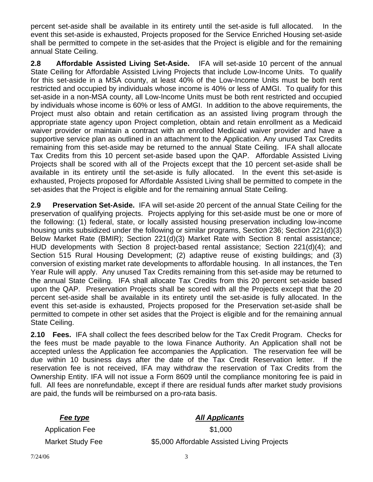percent set-aside shall be available in its entirety until the set-aside is full allocated. In the event this set-aside is exhausted, Projects proposed for the Service Enriched Housing set-aside shall be permitted to compete in the set-asides that the Project is eligible and for the remaining annual State Ceiling.

**2.8 Affordable Assisted Living Set-Aside.** IFA will set-aside 10 percent of the annual State Ceiling for Affordable Assisted Living Projects that include Low-Income Units. To qualify for this set-aside in a MSA county, at least 40% of the Low-Income Units must be both rent restricted and occupied by individuals whose income is 40% or less of AMGI. To qualify for this set-aside in a non-MSA county, all Low-Income Units must be both rent restricted and occupied by individuals whose income is 60% or less of AMGI. In addition to the above requirements, the Project must also obtain and retain certification as an assisted living program through the appropriate state agency upon Project completion, obtain and retain enrollment as a Medicaid waiver provider or maintain a contract with an enrolled Medicaid waiver provider and have a supportive service plan as outlined in an attachment to the Application. Any unused Tax Credits remaining from this set-aside may be returned to the annual State Ceiling. IFA shall allocate Tax Credits from this 10 percent set-aside based upon the QAP. Affordable Assisted Living Projects shall be scored with all of the Projects except that the 10 percent set-aside shall be available in its entirety until the set-aside is fully allocated. In the event this set-aside is exhausted, Projects proposed for Affordable Assisted Living shall be permitted to compete in the set-asides that the Project is eligible and for the remaining annual State Ceiling.

**2.9 Preservation Set-Aside.** IFA will set-aside 20 percent of the annual State Ceiling for the preservation of qualifying projects. Projects applying for this set-aside must be one or more of the following: (1) federal, state, or locally assisted housing preservation including low-income housing units subsidized under the following or similar programs, Section 236; Section 221(d)(3) Below Market Rate (BMIR); Section 221(d)(3) Market Rate with Section 8 rental assistance; HUD developments with Section 8 project-based rental assistance; Section 221(d)(4); and Section 515 Rural Housing Development; (2) adaptive reuse of existing buildings; and (3) conversion of existing market rate developments to affordable housing. In all instances, the Ten Year Rule will apply. Any unused Tax Credits remaining from this set-aside may be returned to the annual State Ceiling. IFA shall allocate Tax Credits from this 20 percent set-aside based upon the QAP. Preservation Projects shall be scored with all the Projects except that the 20 percent set-aside shall be available in its entirety until the set-aside is fully allocated. In the event this set-aside is exhausted, Projects proposed for the Preservation set-aside shall be permitted to compete in other set asides that the Project is eligible and for the remaining annual State Ceiling.

**2.10 Fees.** IFA shall collect the fees described below for the Tax Credit Program. Checks for the fees must be made payable to the Iowa Finance Authority. An Application shall not be accepted unless the Application fee accompanies the Application. The reservation fee will be due within 10 business days after the date of the Tax Credit Reservation letter. If the reservation fee is not received, IFA may withdraw the reservation of Tax Credits from the Ownership Entity. IFA will not issue a Form 8609 until the compliance monitoring fee is paid in full. All fees are nonrefundable, except if there are residual funds after market study provisions are paid, the funds will be reimbursed on a pro-rata basis.

# *Fee type* All Applicants

Application Fee \$1,000

Market Study Fee  $$5,000$  Affordable Assisted Living Projects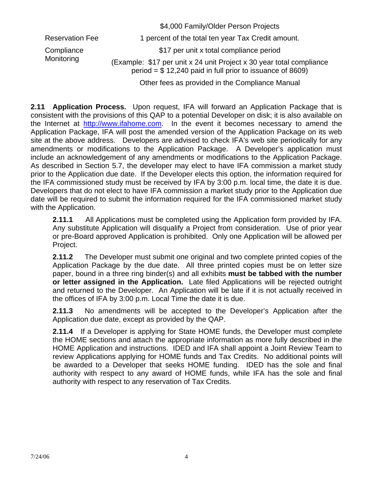|                          | \$4,000 Family/Older Person Projects                                                                                               |
|--------------------------|------------------------------------------------------------------------------------------------------------------------------------|
| <b>Reservation Fee</b>   | 1 percent of the total ten year Tax Credit amount.                                                                                 |
| Compliance<br>Monitoring | \$17 per unit x total compliance period                                                                                            |
|                          | (Example: \$17 per unit x 24 unit Project x 30 year total compliance<br>period = $$12,240$ paid in full prior to issuance of 8609) |
|                          | Other fees as provided in the Compliance Manual                                                                                    |

**2.11 Application Process.** Upon request, IFA will forward an Application Package that is consistent with the provisions of this QAP to a potential Developer on disk; it is also available on the Internet at http://www.ifahome.com. In the event it becomes necessary to amend the Application Package, IFA will post the amended version of the Application Package on its web site at the above address. Developers are advised to check IFA's web site periodically for any amendments or modifications to the Application Package. A Developer's application must include an acknowledgement of any amendments or modifications to the Application Package. As described in Section 5.7, the developer may elect to have IFA commission a market study prior to the Application due date. If the Developer elects this option, the information required for the IFA commissioned study must be received by IFA by 3:00 p.m. local time, the date it is due. Developers that do not elect to have IFA commission a market study prior to the Application due date will be required to submit the information required for the IFA commissioned market study with the Application.

**2.11.1** All Applications must be completed using the Application form provided by IFA. Any substitute Application will disqualify a Project from consideration. Use of prior year or pre-Board approved Application is prohibited. Only one Application will be allowed per Project.

**2.11.2** The Developer must submit one original and two complete printed copies of the Application Package by the due date. All three printed copies must be on letter size paper, bound in a three ring binder(s) and all exhibits **must be tabbed with the number or letter assigned in the Application.** Late filed Applications will be rejected outright and returned to the Developer. An Application will be late if it is not actually received in the offices of IFA by 3:00 p.m. Local Time the date it is due.

**2.11.3** No amendments will be accepted to the Developer's Application after the Application due date, except as provided by the QAP.

**2.11.4** If a Developer is applying for State HOME funds, the Developer must complete the HOME sections and attach the appropriate information as more fully described in the HOME Application and instructions. IDED and IFA shall appoint a Joint Review Team to review Applications applying for HOME funds and Tax Credits. No additional points will be awarded to a Developer that seeks HOME funding. IDED has the sole and final authority with respect to any award of HOME funds, while IFA has the sole and final authority with respect to any reservation of Tax Credits.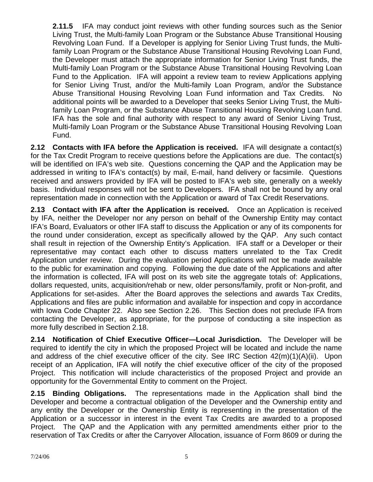**2.11.5** IFA may conduct joint reviews with other funding sources such as the Senior Living Trust, the Multi-family Loan Program or the Substance Abuse Transitional Housing Revolving Loan Fund. If a Developer is applying for Senior Living Trust funds, the Multifamily Loan Program or the Substance Abuse Transitional Housing Revolving Loan Fund, the Developer must attach the appropriate information for Senior Living Trust funds, the Multi-family Loan Program or the Substance Abuse Transitional Housing Revolving Loan Fund to the Application. IFA will appoint a review team to review Applications applying for Senior Living Trust, and/or the Multi-family Loan Program, and/or the Substance Abuse Transitional Housing Revolving Loan Fund information and Tax Credits. No additional points will be awarded to a Developer that seeks Senior Living Trust, the Multifamily Loan Program, or the Substance Abuse Transitional Housing Revolving Loan fund. IFA has the sole and final authority with respect to any award of Senior Living Trust, Multi-family Loan Program or the Substance Abuse Transitional Housing Revolving Loan Fund.

**2.12 Contacts with IFA before the Application is received.** IFA will designate a contact(s) for the Tax Credit Program to receive questions before the Applications are due. The contact(s) will be identified on IFA's web site. Questions concerning the QAP and the Application may be addressed in writing to IFA's contact(s) by mail, E-mail, hand delivery or facsimile. Questions received and answers provided by IFA will be posted to IFA's web site, generally on a weekly basis. Individual responses will not be sent to Developers. IFA shall not be bound by any oral representation made in connection with the Application or award of Tax Credit Reservations.

**2.13 Contact with IFA after the Application is received.** Once an Application is received by IFA, neither the Developer nor any person on behalf of the Ownership Entity may contact IFA's Board, Evaluators or other IFA staff to discuss the Application or any of its components for the round under consideration, except as specifically allowed by the QAP. Any such contact shall result in rejection of the Ownership Entity's Application. IFA staff or a Developer or their representative may contact each other to discuss matters unrelated to the Tax Credit Application under review. During the evaluation period Applications will not be made available to the public for examination and copying. Following the due date of the Applications and after the information is collected, IFA will post on its web site the aggregate totals of: Applications, dollars requested, units, acquisition/rehab or new, older persons/family, profit or Non-profit, and Applications for set-asides. After the Board approves the selections and awards Tax Credits, Applications and files are public information and available for inspection and copy in accordance with Iowa Code Chapter 22. Also see Section 2.26. This Section does not preclude IFA from contacting the Developer, as appropriate, for the purpose of conducting a site inspection as more fully described in Section 2.18.

**2.14 Notification of Chief Executive Officer—Local Jurisdiction.** The Developer will be required to identify the city in which the proposed Project will be located and include the name and address of the chief executive officer of the city. See IRC Section 42(m)(1)(A)(ii). Upon receipt of an Application, IFA will notify the chief executive officer of the city of the proposed Project. This notification will include characteristics of the proposed Project and provide an opportunity for the Governmental Entity to comment on the Project.

**2.15 Binding Obligations.** The representations made in the Application shall bind the Developer and become a contractual obligation of the Developer and the Ownership entity and any entity the Developer or the Ownership Entity is representing in the presentation of the Application or a successor in interest in the event Tax Credits are awarded to a proposed Project. The QAP and the Application with any permitted amendments either prior to the reservation of Tax Credits or after the Carryover Allocation, issuance of Form 8609 or during the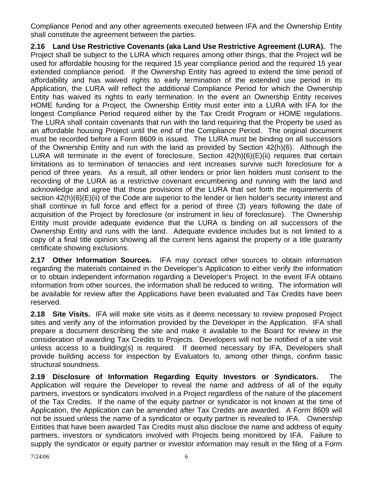Compliance Period and any other agreements executed between IFA and the Ownership Entity shall constitute the agreement between the parties.

**2.16 Land Use Restrictive Covenants (aka Land Use Restrictive Agreement (LURA).** The Project shall be subject to the LURA which requires among other things, that the Project will be used for affordable housing for the required 15 year compliance period and the required 15 year extended compliance period. If the Ownership Entity has agreed to extend the time period of affordability and has waived rights to early termination of the extended use period in its Application, the LURA will reflect the additional Compliance Period for which the Ownership Entity has waived its rights to early termination. In the event an Ownership Entity receives HOME funding for a Project, the Ownership Entity must enter into a LURA with IFA for the longest Compliance Period required either by the Tax Credit Program or HOME regulations. The LURA shall contain covenants that run with the land requiring that the Property be used as an affordable housing Project until the end of the Compliance Period. The original document must be recorded before a Form 8609 is issued. The LURA must be binding on all successors of the Ownership Entity and run with the land as provided by Section 42(h)(6). Although the LURA will terminate in the event of foreclosure, Section 42(h)(6)(E)(ii) requires that certain limitations as to termination of tenancies and rent increases survive such foreclosure for a period of three years. As a result, all other lenders or prior lien holders must consent to the recording of the LURA as a restrictive covenant encumbering and running with the land and acknowledge and agree that those provisions of the LURA that set forth the requirements of section  $42(h)(6)(E)(ii)$  of the Code are superior to the lender or lien holder's security interest and shall continue in full force and effect for a period of three (3) years following the date of acquisition of the Project by foreclosure (or instrument in lieu of foreclosure). The Ownership Entity must provide adequate evidence that the LURA is binding on all successors of the Ownership Entity and runs with the land. Adequate evidence includes but is not limited to a copy of a final title opinion showing all the current liens against the property or a title guaranty certificate showing exclusions.

**2.17 Other Information Sources.** IFA may contact other sources to obtain information regarding the materials contained in the Developer's Application to either verify the information or to obtain independent information regarding a Developer's Project. In the event IFA obtains information from other sources, the information shall be reduced to writing. The information will be available for review after the Applications have been evaluated and Tax Credits have been reserved.

**2.18 Site Visits.** IFA will make site visits as it deems necessary to review proposed Project sites and verify any of the information provided by the Developer in the Application. IFA shall prepare a document describing the site and make it available to the Board for review in the consideration of awarding Tax Credits to Projects. Developers will not be notified of a site visit unless access to a building(s) is required. If deemed necessary by IFA, Developers shall provide building access for inspection by Evaluators to, among other things, confirm basic structural soundness.

**2.19 Disclosure of Information Regarding Equity Investors or Syndicators.** The Application will require the Developer to reveal the name and address of all of the equity partners, investors or syndicators involved in a Project regardless of the nature of the placement of the Tax Credits. If the name of the equity partner or syndicator is not known at the time of Application, the Application can be amended after Tax Credits are awarded. A Form 8609 will not be issued unless the name of a syndicator or equity partner is revealed to IFA. Ownership Entities that have been awarded Tax Credits must also disclose the name and address of equity partners, investors or syndicators involved with Projects being monitored by IFA. Failure to supply the syndicator or equity partner or investor information may result in the filing of a Form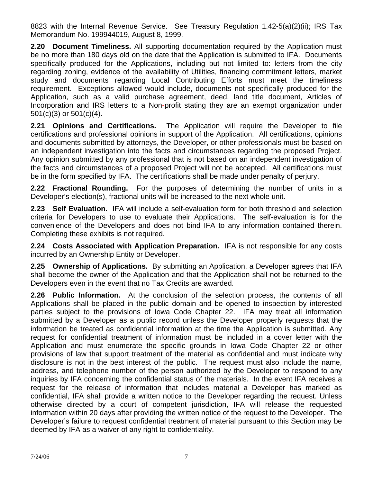8823 with the Internal Revenue Service. See Treasury Regulation 1.42-5(a)(2)(ii); IRS Tax Memorandum No. 199944019, August 8, 1999.

**2.20 Document Timeliness.** All supporting documentation required by the Application must be no more than 180 days old on the date that the Application is submitted to IFA. Documents specifically produced for the Applications, including but not limited to: letters from the city regarding zoning, evidence of the availability of Utilities, financing commitment letters, market study and documents regarding Local Contributing Efforts must meet the timeliness requirement. Exceptions allowed would include, documents not specifically produced for the Application, such as a valid purchase agreement, deed, land title document, Articles of Incorporation and IRS letters to a Non-profit stating they are an exempt organization under 501(c)(3) or 501(c)(4).

**2.21 Opinions and Certifications.** The Application will require the Developer to file certifications and professional opinions in support of the Application. All certifications, opinions and documents submitted by attorneys, the Developer, or other professionals must be based on an independent investigation into the facts and circumstances regarding the proposed Project. Any opinion submitted by any professional that is not based on an independent investigation of the facts and circumstances of a proposed Project will not be accepted. All certifications must be in the form specified by IFA. The certifications shall be made under penalty of perjury.

**2.22 Fractional Rounding.** For the purposes of determining the number of units in a Developer's election(s), fractional units will be increased to the next whole unit.

**2.23 Self Evaluation.** IFA will include a self-evaluation form for both threshold and selection criteria for Developers to use to evaluate their Applications. The self-evaluation is for the convenience of the Developers and does not bind IFA to any information contained therein. Completing these exhibits is not required.

**2.24 Costs Associated with Application Preparation.** IFA is not responsible for any costs incurred by an Ownership Entity or Developer.

**2.25 Ownership of Applications.** By submitting an Application, a Developer agrees that IFA shall become the owner of the Application and that the Application shall not be returned to the Developers even in the event that no Tax Credits are awarded.

**2.26 Public Information.** At the conclusion of the selection process, the contents of all Applications shall be placed in the public domain and be opened to inspection by interested parties subject to the provisions of Iowa Code Chapter 22. IFA may treat all information submitted by a Developer as a public record unless the Developer properly requests that the information be treated as confidential information at the time the Application is submitted. Any request for confidential treatment of information must be included in a cover letter with the Application and must enumerate the specific grounds in Iowa Code Chapter 22 or other provisions of law that support treatment of the material as confidential and must indicate why disclosure is not in the best interest of the public. The request must also include the name, address, and telephone number of the person authorized by the Developer to respond to any inquiries by IFA concerning the confidential status of the materials. In the event IFA receives a request for the release of information that includes material a Developer has marked as confidential, IFA shall provide a written notice to the Developer regarding the request. Unless otherwise directed by a court of competent jurisdiction, IFA will release the requested information within 20 days after providing the written notice of the request to the Developer. The Developer's failure to request confidential treatment of material pursuant to this Section may be deemed by IFA as a waiver of any right to confidentiality.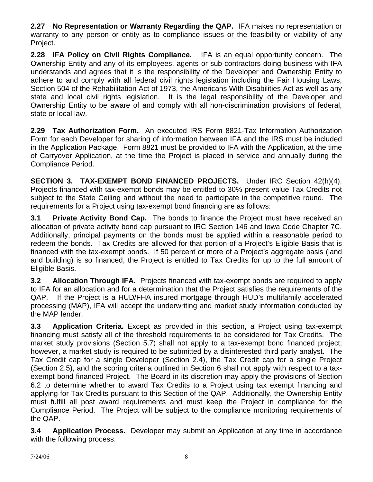**2.27 No Representation or Warranty Regarding the QAP.** IFA makes no representation or warranty to any person or entity as to compliance issues or the feasibility or viability of any Project.

**2.28 IFA Policy on Civil Rights Compliance.** IFA is an equal opportunity concern. The Ownership Entity and any of its employees, agents or sub-contractors doing business with IFA understands and agrees that it is the responsibility of the Developer and Ownership Entity to adhere to and comply with all federal civil rights legislation including the Fair Housing Laws, Section 504 of the Rehabilitation Act of 1973, the Americans With Disabilities Act as well as any state and local civil rights legislation. It is the legal responsibility of the Developer and Ownership Entity to be aware of and comply with all non-discrimination provisions of federal, state or local law.

**2.29 Tax Authorization Form.** An executed IRS Form 8821-Tax Information Authorization Form for each Developer for sharing of information between IFA and the IRS must be included in the Application Package. Form 8821 must be provided to IFA with the Application, at the time of Carryover Application, at the time the Project is placed in service and annually during the Compliance Period.

**SECTION 3. TAX-EXEMPT BOND FINANCED PROJECTS.** Under IRC Section 42(h)(4), Projects financed with tax-exempt bonds may be entitled to 30% present value Tax Credits not subject to the State Ceiling and without the need to participate in the competitive round. The requirements for a Project using tax-exempt bond financing are as follows:

**3.1 Private Activity Bond Cap.** The bonds to finance the Project must have received an allocation of private activity bond cap pursuant to IRC Section 146 and Iowa Code Chapter 7C. Additionally, principal payments on the bonds must be applied within a reasonable period to redeem the bonds. Tax Credits are allowed for that portion of a Project's Eligible Basis that is financed with the tax-exempt bonds. If 50 percent or more of a Project's aggregate basis (land and building) is so financed, the Project is entitled to Tax Credits for up to the full amount of Eligible Basis.

**3.2 Allocation Through IFA.** Projects financed with tax-exempt bonds are required to apply to IFA for an allocation and for a determination that the Project satisfies the requirements of the QAP. If the Project is a HUD/FHA insured mortgage through HUD's multifamily accelerated processing (MAP), IFA will accept the underwriting and market study information conducted by the MAP lender.

**3.3 Application Criteria.** Except as provided in this section, a Project using tax-exempt financing must satisfy all of the threshold requirements to be considered for Tax Credits. The market study provisions (Section 5.7) shall not apply to a tax-exempt bond financed project; however, a market study is required to be submitted by a disinterested third party analyst. The Tax Credit cap for a single Developer (Section 2.4), the Tax Credit cap for a single Project (Section 2.5), and the scoring criteria outlined in Section 6 shall not apply with respect to a taxexempt bond financed Project. The Board in its discretion may apply the provisions of Section 6.2 to determine whether to award Tax Credits to a Project using tax exempt financing and applying for Tax Credits pursuant to this Section of the QAP. Additionally, the Ownership Entity must fulfill all post award requirements and must keep the Project in compliance for the Compliance Period. The Project will be subject to the compliance monitoring requirements of the QAP.

**3.4 Application Process.** Developer may submit an Application at any time in accordance with the following process: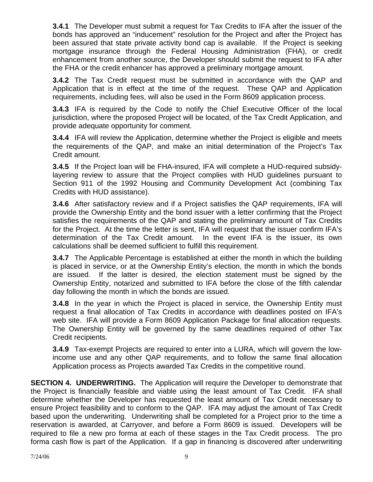**3.4.1** The Developer must submit a request for Tax Credits to IFA after the issuer of the bonds has approved an "inducement" resolution for the Project and after the Project has been assured that state private activity bond cap is available. If the Project is seeking mortgage insurance through the Federal Housing Administration (FHA), or credit enhancement from another source, the Developer should submit the request to IFA after the FHA or the credit enhancer has approved a preliminary mortgage amount.

**3.4.2** The Tax Credit request must be submitted in accordance with the QAP and Application that is in effect at the time of the request. These QAP and Application requirements, including fees, will also be used in the Form 8609 application process.

**3.4.3** IFA is required by the Code to notify the Chief Executive Officer of the local jurisdiction, where the proposed Project will be located, of the Tax Credit Application, and provide adequate opportunity for comment.

**3.4.4** IFA will review the Application, determine whether the Project is eligible and meets the requirements of the QAP, and make an initial determination of the Project's Tax Credit amount.

**3.4.5** If the Project loan will be FHA-insured, IFA will complete a HUD-required subsidylayering review to assure that the Project complies with HUD guidelines pursuant to Section 911 of the 1992 Housing and Community Development Act (combining Tax Credits with HUD assistance).

**3.4.6** After satisfactory review and if a Project satisfies the QAP requirements, IFA will provide the Ownership Entity and the bond issuer with a letter confirming that the Project satisfies the requirements of the QAP and stating the preliminary amount of Tax Credits for the Project. At the time the letter is sent, IFA will request that the issuer confirm IFA's determination of the Tax Credit amount. In the event IFA is the issuer, its own calculations shall be deemed sufficient to fulfill this requirement.

**3.4.7** The Applicable Percentage is established at either the month in which the building is placed in service, or at the Ownership Entity's election, the month in which the bonds are issued. If the latter is desired, the election statement must be signed by the Ownership Entity, notarized and submitted to IFA before the close of the fifth calendar day following the month in which the bonds are issued.

**3.4.8** In the year in which the Project is placed in service, the Ownership Entity must request a final allocation of Tax Credits in accordance with deadlines posted on IFA's web site. IFA will provide a Form 8609 Application Package for final allocation requests. The Ownership Entity will be governed by the same deadlines required of other Tax Credit recipients.

**3.4.9** Tax-exempt Projects are required to enter into a LURA, which will govern the lowincome use and any other QAP requirements, and to follow the same final allocation Application process as Projects awarded Tax Credits in the competitive round.

**SECTION 4. UNDERWRITING.** The Application will require the Developer to demonstrate that the Project is financially feasible and viable using the least amount of Tax Credit. IFA shall determine whether the Developer has requested the least amount of Tax Credit necessary to ensure Project feasibility and to conform to the QAP. IFA may adjust the amount of Tax Credit based upon the underwriting. Underwriting shall be completed for a Project prior to the time a reservation is awarded, at Carryover, and before a Form 8609 is issued. Developers will be required to file a new pro forma at each of these stages in the Tax Credit process. The pro forma cash flow is part of the Application. If a gap in financing is discovered after underwriting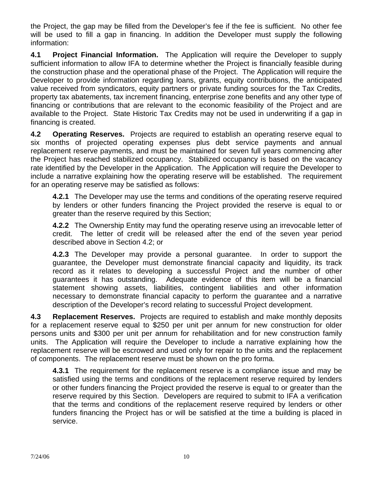the Project, the gap may be filled from the Developer's fee if the fee is sufficient. No other fee will be used to fill a gap in financing. In addition the Developer must supply the following information:

**4.1 Project Financial Information.** The Application will require the Developer to supply sufficient information to allow IFA to determine whether the Project is financially feasible during the construction phase and the operational phase of the Project. The Application will require the Developer to provide information regarding loans, grants, equity contributions, the anticipated value received from syndicators, equity partners or private funding sources for the Tax Credits, property tax abatements, tax increment financing, enterprise zone benefits and any other type of financing or contributions that are relevant to the economic feasibility of the Project and are available to the Project. State Historic Tax Credits may not be used in underwriting if a gap in financing is created.

**4.2 Operating Reserves.** Projects are required to establish an operating reserve equal to six months of projected operating expenses plus debt service payments and annual replacement reserve payments, and must be maintained for seven full years commencing after the Project has reached stabilized occupancy. Stabilized occupancy is based on the vacancy rate identified by the Developer in the Application. The Application will require the Developer to include a narrative explaining how the operating reserve will be established. The requirement for an operating reserve may be satisfied as follows:

**4.2.1** The Developer may use the terms and conditions of the operating reserve required by lenders or other funders financing the Project provided the reserve is equal to or greater than the reserve required by this Section;

**4.2.2** The Ownership Entity may fund the operating reserve using an irrevocable letter of credit. The letter of credit will be released after the end of the seven year period described above in Section 4.2; or

**4.2.3** The Developer may provide a personal guarantee. In order to support the guarantee, the Developer must demonstrate financial capacity and liquidity, its track record as it relates to developing a successful Project and the number of other guarantees it has outstanding. Adequate evidence of this item will be a financial statement showing assets, liabilities, contingent liabilities and other information necessary to demonstrate financial capacity to perform the guarantee and a narrative description of the Developer's record relating to successful Project development.

**4.3 Replacement Reserves.** Projects are required to establish and make monthly deposits for a replacement reserve equal to \$250 per unit per annum for new construction for older persons units and \$300 per unit per annum for rehabilitation and for new construction family units. The Application will require the Developer to include a narrative explaining how the replacement reserve will be escrowed and used only for repair to the units and the replacement of components. The replacement reserve must be shown on the pro forma.

**4.3.1** The requirement for the replacement reserve is a compliance issue and may be satisfied using the terms and conditions of the replacement reserve required by lenders or other funders financing the Project provided the reserve is equal to or greater than the reserve required by this Section. Developers are required to submit to IFA a verification that the terms and conditions of the replacement reserve required by lenders or other funders financing the Project has or will be satisfied at the time a building is placed in service.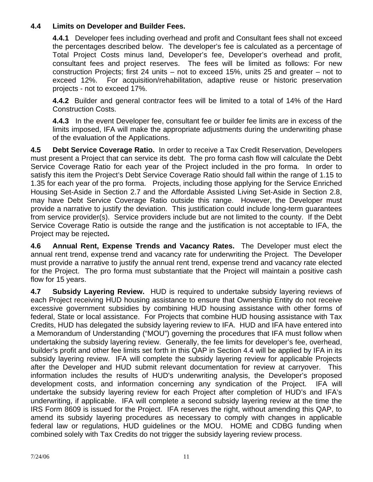# **4.4 Limits on Developer and Builder Fees.**

**4.4.1** Developer fees including overhead and profit and Consultant fees shall not exceed the percentages described below. The developer's fee is calculated as a percentage of Total Project Costs minus land, Developer's fee, Developer's overhead and profit, consultant fees and project reserves. The fees will be limited as follows: For new construction Projects; first 24 units – not to exceed 15%, units 25 and greater – not to exceed 12%. For acquisition/rehabilitation, adaptive reuse or historic preservation projects - not to exceed 17%.

**4.4.2** Builder and general contractor fees will be limited to a total of 14% of the Hard Construction Costs.

**4.4.3** In the event Developer fee, consultant fee or builder fee limits are in excess of the limits imposed, IFA will make the appropriate adjustments during the underwriting phase of the evaluation of the Applications.

**4.5 Debt Service Coverage Ratio.** In order to receive a Tax Credit Reservation, Developers must present a Project that can service its debt. The pro forma cash flow will calculate the Debt Service Coverage Ratio for each year of the Project included in the pro forma. In order to satisfy this item the Project's Debt Service Coverage Ratio should fall within the range of 1.15 to 1.35 for each year of the pro forma. Projects, including those applying for the Service Enriched Housing Set-Aside in Section 2.7 and the Affordable Assisted Living Set-Aside in Section 2.8, may have Debt Service Coverage Ratio outside this range. However, the Developer must provide a narrative to justify the deviation. This justification could include long-term guarantees from service provider(s). Service providers include but are not limited to the county. If the Debt Service Coverage Ratio is outside the range and the justification is not acceptable to IFA, the Project may be rejected**.** 

**4.6 Annual Rent, Expense Trends and Vacancy Rates.** The Developer must elect the annual rent trend, expense trend and vacancy rate for underwriting the Project. The Developer must provide a narrative to justify the annual rent trend, expense trend and vacancy rate elected for the Project. The pro forma must substantiate that the Project will maintain a positive cash flow for 15 years.

**4.7 Subsidy Layering Review.** HUD is required to undertake subsidy layering reviews of each Project receiving HUD housing assistance to ensure that Ownership Entity do not receive excessive government subsidies by combining HUD housing assistance with other forms of federal, State or local assistance. For Projects that combine HUD housing assistance with Tax Credits, HUD has delegated the subsidy layering review to IFA. HUD and IFA have entered into a Memorandum of Understanding ("MOU") governing the procedures that IFA must follow when undertaking the subsidy layering review. Generally, the fee limits for developer's fee, overhead, builder's profit and other fee limits set forth in this QAP in Section 4.4 will be applied by IFA in its subsidy layering review. IFA will complete the subsidy layering review for applicable Projects after the Developer and HUD submit relevant documentation for review at carryover. This information includes the results of HUD's underwriting analysis, the Developer's proposed development costs, and information concerning any syndication of the Project. IFA will undertake the subsidy layering review for each Project after completion of HUD's and IFA's underwriting, if applicable. IFA will complete a second subsidy layering review at the time the IRS Form 8609 is issued for the Project. IFA reserves the right, without amending this QAP, to amend its subsidy layering procedures as necessary to comply with changes in applicable federal law or regulations, HUD guidelines or the MOU. HOME and CDBG funding when combined solely with Tax Credits do not trigger the subsidy layering review process.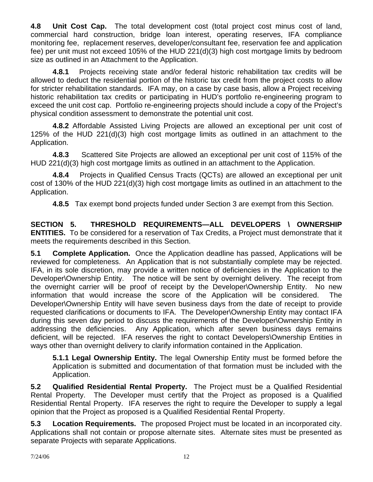**4.8 Unit Cost Cap.** The total development cost (total project cost minus cost of land, commercial hard construction, bridge loan interest, operating reserves, IFA compliance monitoring fee, replacement reserves, developer/consultant fee, reservation fee and application fee) per unit must not exceed 105% of the HUD 221(d)(3) high cost mortgage limits by bedroom size as outlined in an Attachment to the Application.

 **4.8.1** Projects receiving state and/or federal historic rehabilitation tax credits will be allowed to deduct the residential portion of the historic tax credit from the project costs to allow for stricter rehabilitation standards. IFA may, on a case by case basis, allow a Project receiving historic rehabilitation tax credits or participating in HUD's portfolio re-engineering program to exceed the unit cost cap. Portfolio re-engineering projects should include a copy of the Project's physical condition assessment to demonstrate the potential unit cost.

 **4.8.2** Affordable Assisted Living Projects are allowed an exceptional per unit cost of 125% of the HUD 221(d)(3) high cost mortgage limits as outlined in an attachment to the Application.

 **4.8.3** Scattered Site Projects are allowed an exceptional per unit cost of 115% of the HUD 221(d)(3) high cost mortgage limits as outlined in an attachment to the Application.

 **4.8.4** Projects in Qualified Census Tracts (QCTs) are allowed an exceptional per unit cost of 130% of the HUD 221(d)(3) high cost mortgage limits as outlined in an attachment to the Application.

**4.8.5** Tax exempt bond projects funded under Section 3 are exempt from this Section.

**SECTION 5. THRESHOLD REQUIREMENTS—ALL DEVELOPERS \ OWNERSHIP ENTITIES.** To be considered for a reservation of Tax Credits, a Project must demonstrate that it meets the requirements described in this Section.

**5.1 Complete Application.** Once the Application deadline has passed, Applications will be reviewed for completeness. An Application that is not substantially complete may be rejected. IFA, in its sole discretion, may provide a written notice of deficiencies in the Application to the Developer\Ownership Entity. The notice will be sent by overnight delivery. The receipt from the overnight carrier will be proof of receipt by the Developer\Ownership Entity. No new information that would increase the score of the Application will be considered. The Developer\Ownership Entity will have seven business days from the date of receipt to provide requested clarifications or documents to IFA. The Developer\Ownership Entity may contact IFA during this seven day period to discuss the requirements of the Developer\Ownership Entity in addressing the deficiencies. Any Application, which after seven business days remains deficient, will be rejected. IFA reserves the right to contact Developers\Ownership Entities in ways other than overnight delivery to clarify information contained in the Application.

**5.1.1 Legal Ownership Entity.** The legal Ownership Entity must be formed before the Application is submitted and documentation of that formation must be included with the Application.

**5.2 Qualified Residential Rental Property.** The Project must be a Qualified Residential Rental Property. The Developer must certify that the Project as proposed is a Qualified Residential Rental Property. IFA reserves the right to require the Developer to supply a legal opinion that the Project as proposed is a Qualified Residential Rental Property.

**5.3 Location Requirements.** The proposed Project must be located in an incorporated city. Applications shall not contain or propose alternate sites. Alternate sites must be presented as separate Projects with separate Applications.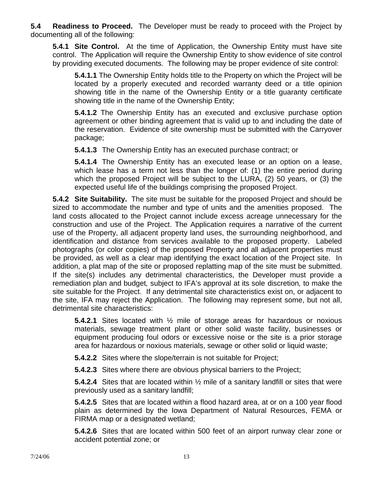**5.4 Readiness to Proceed.** The Developer must be ready to proceed with the Project by documenting all of the following:

**5.4.1 Site Control.** At the time of Application, the Ownership Entity must have site control. The Application will require the Ownership Entity to show evidence of site control by providing executed documents. The following may be proper evidence of site control:

**5.4.1.1** The Ownership Entity holds title to the Property on which the Project will be located by a properly executed and recorded warranty deed or a title opinion showing title in the name of the Ownership Entity or a title guaranty certificate showing title in the name of the Ownership Entity;

**5.4.1.2** The Ownership Entity has an executed and exclusive purchase option agreement or other binding agreement that is valid up to and including the date of the reservation. Evidence of site ownership must be submitted with the Carryover package;

**5.4.1.3** The Ownership Entity has an executed purchase contract; or

**5.4.1.4** The Ownership Entity has an executed lease or an option on a lease, which lease has a term not less than the longer of: (1) the entire period during which the proposed Project will be subject to the LURA, (2) 50 years, or (3) the expected useful life of the buildings comprising the proposed Project.

**5.4.2 Site Suitability.** The site must be suitable for the proposed Project and should be sized to accommodate the number and type of units and the amenities proposed. The land costs allocated to the Project cannot include excess acreage unnecessary for the construction and use of the Project. The Application requires a narrative of the current use of the Property, all adjacent property land uses, the surrounding neighborhood, and identification and distance from services available to the proposed property. Labeled photographs (or color copies) of the proposed Property and all adjacent properties must be provided, as well as a clear map identifying the exact location of the Project site. In addition, a plat map of the site or proposed replatting map of the site must be submitted. If the site(s) includes any detrimental characteristics, the Developer must provide a remediation plan and budget*,* subject to IFA's approval at its sole discretion*,* to make the site suitable for the Project. If any detrimental site characteristics exist on, or adjacent to the site, IFA may reject the Application.The following may represent some, but not all, detrimental site characteristics:

**5.4.2.1** Sites located with ½ mile of storage areas for hazardous or noxious materials, sewage treatment plant or other solid waste facility, businesses or equipment producing foul odors or excessive noise or the site is a prior storage area for hazardous or noxious materials, sewage or other solid or liquid waste;

**5.4.2.2** Sites where the slope/terrain is not suitable for Project;

**5.4.2.3** Sites where there are obvious physical barriers to the Project;

**5.4.2.4** Sites that are located within ½ mile of a sanitary landfill or sites that were previously used as a sanitary landfill;

**5.4.2.5** Sites that are located within a flood hazard area, at or on a 100 year flood plain as determined by the Iowa Department of Natural Resources, FEMA or FIRMA map or a designated wetland;

**5.4.2.6** Sites that are located within 500 feet of an airport runway clear zone or accident potential zone; or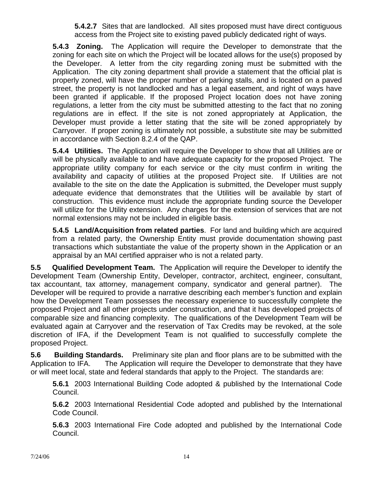**5.4.2.7** Sites that are landlocked. All sites proposed must have direct contiguous access from the Project site to existing paved publicly dedicated right of ways.

**5.4.3 Zoning.** The Application will require the Developer to demonstrate that the zoning for each site on which the Project will be located allows for the use(s) proposed by the Developer. A letter from the city regarding zoning must be submitted with the Application. The city zoning department shall provide a statement that the official plat is properly zoned, will have the proper number of parking stalls, and is located on a paved street, the property is not landlocked and has a legal easement, and right of ways have been granted if applicable. If the proposed Project location does not have zoning regulations, a letter from the city must be submitted attesting to the fact that no zoning regulations are in effect. If the site is not zoned appropriately at Application, the Developer must provide a letter stating that the site will be zoned appropriately by Carryover. If proper zoning is ultimately not possible, a substitute site may be submitted in accordance with Section 8.2.4 of the QAP.

**5.4.4 Utilities.** The Application will require the Developer to show that all Utilities are or will be physically available to and have adequate capacity for the proposed Project. The appropriate utility company for each service or the city must confirm in writing the availability and capacity of utilities at the proposed Project site. If Utilities are not available to the site on the date the Application is submitted, the Developer must supply adequate evidence that demonstrates that the Utilities will be available by start of construction. This evidence must include the appropriate funding source the Developer will utilize for the Utility extension. Any charges for the extension of services that are not normal extensions may not be included in eligible basis.

**5.4.5 Land/Acquisition from related parties**. For land and building which are acquired from a related party, the Ownership Entity must provide documentation showing past transactions which substantiate the value of the property shown in the Application or an appraisal by an MAI certified appraiser who is not a related party.

**5.5 Qualified Development Team.** The Application will require the Developer to identify the Development Team (Ownership Entity, Developer, contractor, architect, engineer, consultant, tax accountant, tax attorney, management company, syndicator and general partner). The Developer will be required to provide a narrative describing each member's function and explain how the Development Team possesses the necessary experience to successfully complete the proposed Project and all other projects under construction, and that it has developed projects of comparable size and financing complexity. The qualifications of the Development Team will be evaluated again at Carryover and the reservation of Tax Credits may be revoked, at the sole discretion of IFA, if the Development Team is not qualified to successfully complete the proposed Project.

**5.6 Building Standards.** Preliminary site plan and floor plans are to be submitted with the Application to IFA. The Application will require the Developer to demonstrate that they have or will meet local, state and federal standards that apply to the Project. The standards are:

**5.6.1** 2003 International Building Code adopted & published by the International Code Council.

**5.6.2** 2003 International Residential Code adopted and published by the International Code Council.

**5.6.3** 2003 International Fire Code adopted and published by the International Code Council.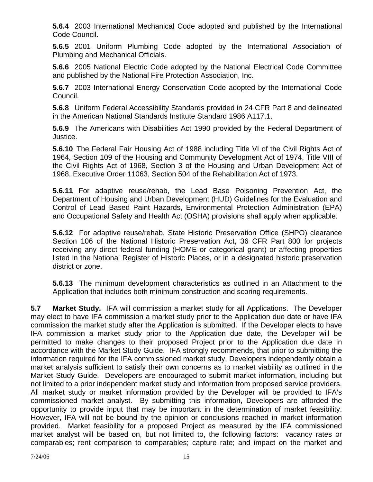**5.6.4** 2003 International Mechanical Code adopted and published by the International Code Council.

**5.6.5** 2001 Uniform Plumbing Code adopted by the International Association of Plumbing and Mechanical Officials.

**5.6.6** 2005 National Electric Code adopted by the National Electrical Code Committee and published by the National Fire Protection Association, Inc.

**5.6.7** 2003 International Energy Conservation Code adopted by the International Code Council.

**5.6.8** Uniform Federal Accessibility Standards provided in 24 CFR Part 8 and delineated in the American National Standards Institute Standard 1986 A117.1.

**5.6.9** The Americans with Disabilities Act 1990 provided by the Federal Department of Justice.

**5.6.10** The Federal Fair Housing Act of 1988 including Title VI of the Civil Rights Act of 1964, Section 109 of the Housing and Community Development Act of 1974, Title VIII of the Civil Rights Act of 1968, Section 3 of the Housing and Urban Development Act of 1968, Executive Order 11063, Section 504 of the Rehabilitation Act of 1973.

**5.6.11** For adaptive reuse/rehab, the Lead Base Poisoning Prevention Act, the Department of Housing and Urban Development (HUD) Guidelines for the Evaluation and Control of Lead Based Paint Hazards, Environmental Protection Administration (EPA) and Occupational Safety and Health Act (OSHA) provisions shall apply when applicable.

**5.6.12** For adaptive reuse/rehab, State Historic Preservation Office (SHPO) clearance Section 106 of the National Historic Preservation Act, 36 CFR Part 800 for projects receiving any direct federal funding (HOME or categorical grant) or affecting properties listed in the National Register of Historic Places, or in a designated historic preservation district or zone.

**5.6.13** The minimum development characteristics as outlined in an Attachment to the Application that includes both minimum construction and scoring requirements.

**5.7 Market Study.** IFA will commission a market study for all Applications. The Developer may elect to have IFA commission a market study prior to the Application due date or have IFA commission the market study after the Application is submitted. If the Developer elects to have IFA commission a market study prior to the Application due date, the Developer will be permitted to make changes to their proposed Project prior to the Application due date in accordance with the Market Study Guide. IFA strongly recommends, that prior to submitting the information required for the IFA commissioned market study, Developers independently obtain a market analysis sufficient to satisfy their own concerns as to market viability as outlined in the Market Study Guide. Developers are encouraged to submit market information, including but not limited to a prior independent market study and information from proposed service providers. All market study or market information provided by the Developer will be provided to IFA's commissioned market analyst. By submitting this information, Developers are afforded the opportunity to provide input that may be important in the determination of market feasibility. However, IFA will not be bound by the opinion or conclusions reached in market information provided. Market feasibility for a proposed Project as measured by the IFA commissioned market analyst will be based on, but not limited to, the following factors: vacancy rates or comparables; rent comparison to comparables; capture rate; and impact on the market and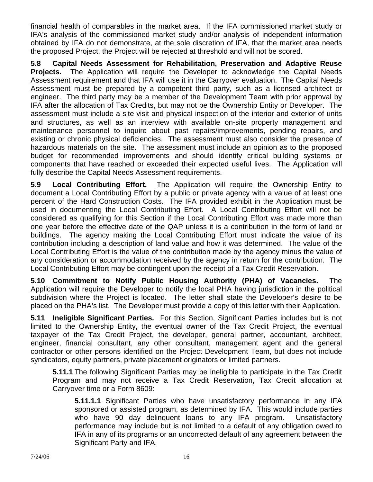financial health of comparables in the market area. If the IFA commissioned market study or IFA's analysis of the commissioned market study and/or analysis of independent information obtained by IFA do not demonstrate, at the sole discretion of IFA, that the market area needs the proposed Project, the Project will be rejected at threshold and will not be scored.

**5.8 Capital Needs Assessment for Rehabilitation, Preservation and Adaptive Reuse Projects.** The Application will require the Developer to acknowledge the Capital Needs Assessment requirement and that IFA will use it in the Carryover evaluation. The Capital Needs Assessment must be prepared by a competent third party, such as a licensed architect or engineer. The third party may be a member of the Development Team with prior approval by IFA after the allocation of Tax Credits, but may not be the Ownership Entity or Developer. The assessment must include a site visit and physical inspection of the interior and exterior of units and structures, as well as an interview with available on-site property management and maintenance personnel to inquire about past repairs/improvements, pending repairs, and existing or chronic physical deficiencies. The assessment must also consider the presence of hazardous materials on the site. The assessment must include an opinion as to the proposed budget for recommended improvements and should identify critical building systems or components that have reached or exceeded their expected useful lives. The Application will fully describe the Capital Needs Assessment requirements.

**5.9 Local Contributing Effort.** The Application will require the Ownership Entity to document a Local Contributing Effort by a public or private agency with a value of at least one percent of the Hard Construction Costs. The IFA provided exhibit in the Application must be used in documenting the Local Contributing Effort. A Local Contributing Effort will not be considered as qualifying for this Section if the Local Contributing Effort was made more than one year before the effective date of the QAP unless it is a contribution in the form of land or buildings. The agency making the Local Contributing Effort must indicate the value of its contribution including a description of land value and how it was determined. The value of the Local Contributing Effort is the value of the contribution made by the agency minus the value of any consideration or accommodation received by the agency in return for the contribution. The Local Contributing Effort may be contingent upon the receipt of a Tax Credit Reservation.

**5.10 Commitment to Notify Public Housing Authority (PHA) of Vacancies.** The Application will require the Developer to notify the local PHA having jurisdiction in the political subdivision where the Project is located. The letter shall state the Developer's desire to be placed on the PHA's list. The Developer must provide a copy of this letter with their Application.

**5.11 Ineligible Significant Parties.** For this Section, Significant Parties includes but is not limited to the Ownership Entity, the eventual owner of the Tax Credit Project, the eventual taxpayer of the Tax Credit Project, the developer, general partner, accountant, architect, engineer, financial consultant, any other consultant, management agent and the general contractor or other persons identified on the Project Development Team, but does not include syndicators, equity partners, private placement originators or limited partners.

**5.11.1** The following Significant Parties may be ineligible to participate in the Tax Credit Program and may not receive a Tax Credit Reservation, Tax Credit allocation at Carryover time or a Form 8609:

**5.11.1.1** Significant Parties who have unsatisfactory performance in any IFA sponsored or assisted program, as determined by IFA. This would include parties who have 90 day delinquent loans to any IFA program. Unsatisfactory performance may include but is not limited to a default of any obligation owed to IFA in any of its programs or an uncorrected default of any agreement between the Significant Party and IFA.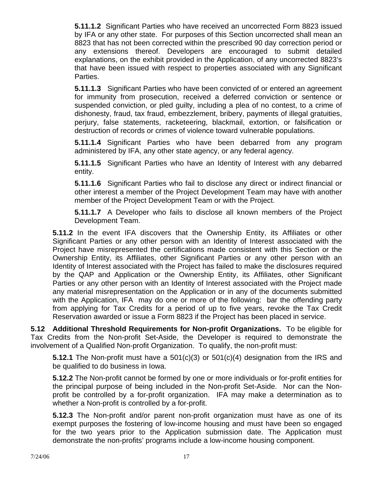**5.11.1.2** Significant Parties who have received an uncorrected Form 8823 issued by IFA or any other state. For purposes of this Section uncorrected shall mean an 8823 that has not been corrected within the prescribed 90 day correction period or any extensions thereof. Developers are encouraged to submit detailed explanations, on the exhibit provided in the Application, of any uncorrected 8823's that have been issued with respect to properties associated with any Significant Parties.

**5.11.1.3** Significant Parties who have been convicted of or entered an agreement for immunity from prosecution, received a deferred conviction or sentence or suspended conviction, or pled guilty, including a plea of no contest, to a crime of dishonesty, fraud, tax fraud, embezzlement, bribery, payments of illegal gratuities, perjury, false statements, racketeering, blackmail, extortion, or falsification or destruction of records or crimes of violence toward vulnerable populations.

**5.11.1.4** Significant Parties who have been debarred from any program administered by IFA, any other state agency, or any federal agency.

**5.11.1.5** Significant Parties who have an Identity of Interest with any debarred entity.

**5.11.1.6** Significant Parties who fail to disclose any direct or indirect financial or other interest a member of the Project Development Team may have with another member of the Project Development Team or with the Project.

**5.11.1.7** A Developer who fails to disclose all known members of the Project Development Team.

**5.11.2** In the event IFA discovers that the Ownership Entity, its Affiliates or other Significant Parties or any other person with an Identity of Interest associated with the Project have misrepresented the certifications made consistent with this Section or the Ownership Entity, its Affiliates, other Significant Parties or any other person with an Identity of Interest associated with the Project has failed to make the disclosures required by the QAP and Application or the Ownership Entity, its Affiliates, other Significant Parties or any other person with an Identity of Interest associated with the Project made any material misrepresentation on the Application or in any of the documents submitted with the Application, IFA may do one or more of the following: bar the offending party from applying for Tax Credits for a period of up to five years, revoke the Tax Credit Reservation awarded or issue a Form 8823 if the Project has been placed in service.

**5.12 Additional Threshold Requirements for Non-profit Organizations.** To be eligible for Tax Credits from the Non-profit Set-Aside, the Developer is required to demonstrate the involvement of a Qualified Non-profit Organization. To qualify, the non-profit must:

**5.12.1** The Non-profit must have a 501(c)(3) or 501(c)(4) designation from the IRS and be qualified to do business in Iowa.

**5.12.2** The Non-profit cannot be formed by one or more individuals or for-profit entities for the principal purpose of being included in the Non-profit Set-Aside. Nor can the Nonprofit be controlled by a for-profit organization. IFA may make a determination as to whether a Non-profit is controlled by a for-profit.

**5.12.3** The Non-profit and/or parent non-profit organization must have as one of its exempt purposes the fostering of low-income housing and must have been so engaged for the two years prior to the Application submission date. The Application must demonstrate the non-profits' programs include a low-income housing component.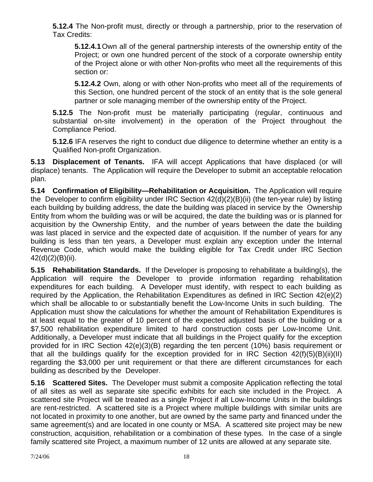**5.12.4** The Non-profit must, directly or through a partnership, prior to the reservation of Tax Credits:

**5.12.4.1** Own all of the general partnership interests of the ownership entity of the Project; or own one hundred percent of the stock of a corporate ownership entity of the Project alone or with other Non-profits who meet all the requirements of this section or:

**5.12.4.2** Own, along or with other Non-profits who meet all of the requirements of this Section, one hundred percent of the stock of an entity that is the sole general partner or sole managing member of the ownership entity of the Project.

**5.12.5** The Non-profit must be materially participating (regular, continuous and substantial on-site involvement) in the operation of the Project throughout the Compliance Period.

**5.12.6** IFA reserves the right to conduct due diligence to determine whether an entity is a Qualified Non-profit Organization.

**5.13 Displacement of Tenants.** IFA will accept Applications that have displaced (or will displace) tenants. The Application will require the Developer to submit an acceptable relocation plan.

**5.14 Confirmation of Eligibility—Rehabilitation or Acquisition.** The Application will require the Developer to confirm eligibility under IRC Section 42(d)(2)(B)(ii) (the ten-year rule) by listing each building by building address, the date the building was placed in service by the Ownership Entity from whom the building was or will be acquired, the date the building was or is planned for acquisition by the Ownership Entity, and the number of years between the date the building was last placed in service and the expected date of acquisition. If the number of years for any building is less than ten years, a Developer must explain any exception under the Internal Revenue Code, which would make the building eligible for Tax Credit under IRC Section 42(d)(2)(B)(ii).

**5.15 Rehabilitation Standards.** If the Developer is proposing to rehabilitate a building(s), the Application will require the Developer to provide information regarding rehabilitation expenditures for each building. A Developer must identify, with respect to each building as required by the Application, the Rehabilitation Expenditures as defined in IRC Section 42(e)(2) which shall be allocable to or substantially benefit the Low-Income Units in such building. The Application must show the calculations for whether the amount of Rehabilitation Expenditures is at least equal to the greater of 10 percent of the expected adjusted basis of the building or a \$7,500 rehabilitation expenditure limited to hard construction costs per Low-Income Unit. Additionally, a Developer must indicate that all buildings in the Project qualify for the exception provided for in IRC Section 42(e)(3)(B) regarding the ten percent (10%) basis requirement or that all the buildings qualify for the exception provided for in IRC Section  $42(f)(5)(B)(ii)(II)$ regarding the \$3,000 per unit requirement or that there are different circumstances for each building as described by the Developer.

**5.16 Scattered Sites.** The Developer must submit a composite Application reflecting the total of all sites as well as separate site specific exhibits for each site included in the Project. A scattered site Project will be treated as a single Project if all Low-Income Units in the buildings are rent-restricted. A scattered site is a Project where multiple buildings with similar units are not located in proximity to one another, but are owned by the same party and financed under the same agreement(s) and are located in one county or MSA. A scattered site project may be new construction, acquisition, rehabilitation or a combination of these types. In the case of a single family scattered site Project, a maximum number of 12 units are allowed at any separate site.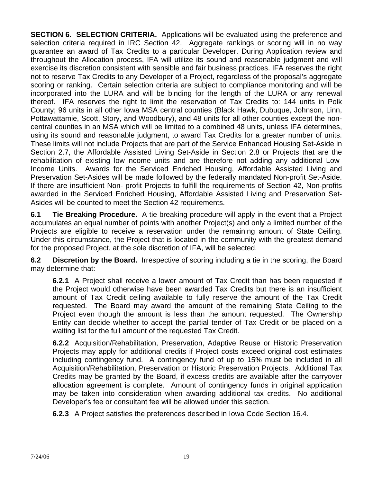**SECTION 6. SELECTION CRITERIA.** Applications will be evaluated using the preference and selection criteria required in IRC Section 42. Aggregate rankings or scoring will in no way guarantee an award of Tax Credits to a particular Developer. During Application review and throughout the Allocation process, IFA will utilize its sound and reasonable judgment and will exercise its discretion consistent with sensible and fair business practices. IFA reserves the right not to reserve Tax Credits to any Developer of a Project, regardless of the proposal's aggregate scoring or ranking. Certain selection criteria are subject to compliance monitoring and will be incorporated into the LURA and will be binding for the length of the LURA or any renewal thereof. IFA reserves the right to limit the reservation of Tax Credits to: 144 units in Polk County; 96 units in all other Iowa MSA central counties (Black Hawk, Dubuque, Johnson, Linn, Pottawattamie, Scott, Story, and Woodbury), and 48 units for all other counties except the noncentral counties in an MSA which will be limited to a combined 48 units, unless IFA determines, using its sound and reasonable judgment, to award Tax Credits for a greater number of units. These limits will not include Projects that are part of the Service Enhanced Housing Set-Aside in Section 2.7, the Affordable Assisted Living Set-Aside in Section 2.8 or Projects that are the rehabilitation of existing low-income units and are therefore not adding any additional Low-Income Units. Awards for the Serviced Enriched Housing, Affordable Assisted Living and Preservation Set-Asides will be made followed by the federally mandated Non-profit Set-Aside. If there are insufficient Non- profit Projects to fulfill the requirements of Section 42, Non-profits awarded in the Serviced Enriched Housing, Affordable Assisted Living and Preservation Set-Asides will be counted to meet the Section 42 requirements.

**6.1 Tie Breaking Procedure.** A tie breaking procedure will apply in the event that a Project accumulates an equal number of points with another Project(s) and only a limited number of the Projects are eligible to receive a reservation under the remaining amount of State Ceiling. Under this circumstance, the Project that is located in the community with the greatest demand for the proposed Project, at the sole discretion of IFA, will be selected.

**6.2 Discretion by the Board.** Irrespective of scoring including a tie in the scoring, the Board may determine that:

**6.2.1** A Project shall receive a lower amount of Tax Credit than has been requested if the Project would otherwise have been awarded Tax Credits but there is an insufficient amount of Tax Credit ceiling available to fully reserve the amount of the Tax Credit requested. The Board may award the amount of the remaining State Ceiling to the Project even though the amount is less than the amount requested. The Ownership Entity can decide whether to accept the partial tender of Tax Credit or be placed on a waiting list for the full amount of the requested Tax Credit.

**6.2.2** Acquisition/Rehabilitation, Preservation, Adaptive Reuse or Historic Preservation Projects may apply for additional credits if Project costs exceed original cost estimates including contingency fund. A contingency fund of up to 15% must be included in all Acquisition/Rehabilitation, Preservation or Historic Preservation Projects. Additional Tax Credits may be granted by the Board, if excess credits are available after the carryover allocation agreement is complete. Amount of contingency funds in original application may be taken into consideration when awarding additional tax credits. No additional Developer's fee or consultant fee will be allowed under this section.

**6.2.3** A Project satisfies the preferences described in Iowa Code Section 16.4.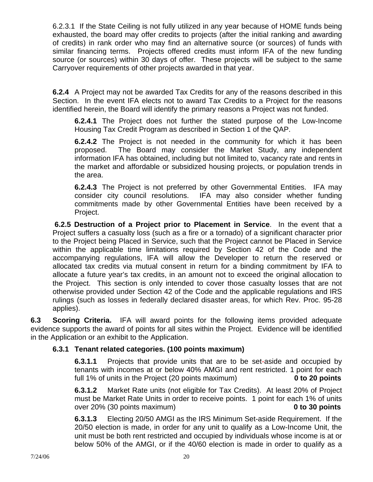6.2.3.1 If the State Ceiling is not fully utilized in any year because of HOME funds being exhausted, the board may offer credits to projects (after the initial ranking and awarding of credits) in rank order who may find an alternative source (or sources) of funds with similar financing terms. Projects offered credits must inform IFA of the new funding source (or sources) within 30 days of offer. These projects will be subject to the same Carryover requirements of other projects awarded in that year.

**6.2.4** A Project may not be awarded Tax Credits for any of the reasons described in this Section. In the event IFA elects not to award Tax Credits to a Project for the reasons identified herein, the Board will identify the primary reasons a Project was not funded.

**6.2.4.1** The Project does not further the stated purpose of the Low-Income Housing Tax Credit Program as described in Section 1 of the QAP.

**6.2.4.2** The Project is not needed in the community for which it has been proposed. The Board may consider the Market Study, any independent information IFA has obtained, including but not limited to, vacancy rate and rents in the market and affordable or subsidized housing projects, or population trends in the area.

**6.2.4.3** The Project is not preferred by other Governmental Entities. IFA may consider city council resolutions. IFA may also consider whether funding commitments made by other Governmental Entities have been received by a Project.

**6.2.5 Destruction of a Project prior to Placement in Service**. In the event that a Project suffers a casualty loss (such as a fire or a tornado) of a significant character prior to the Project being Placed in Service, such that the Project cannot be Placed in Service within the applicable time limitations required by Section 42 of the Code and the accompanying regulations, IFA will allow the Developer to return the reserved or allocated tax credits via mutual consent in return for a binding commitment by IFA to allocate a future year's tax credits, in an amount not to exceed the original allocation to the Project. This section is only intended to cover those casualty losses that are not otherwise provided under Section 42 of the Code and the applicable regulations and IRS rulings (such as losses in federally declared disaster areas, for which Rev. Proc. 95-28 applies).

**6.3 Scoring Criteria.** IFA will award points for the following items provided adequate evidence supports the award of points for all sites within the Project. Evidence will be identified in the Application or an exhibit to the Application.

# **6.3.1 Tenant related categories. (100 points maximum)**

**6.3.1.1** Projects that provide units that are to be set-aside and occupied by tenants with incomes at or below 40% AMGI and rent restricted. 1 point for each full 1% of units in the Project (20 points maximum) **0 to 20 points** 

 **6.3.1.2** Market Rate units (not eligible for Tax Credits). At least 20% of Project must be Market Rate Units in order to receive points. 1 point for each 1% of units over 20% (30 points maximum) **0 to 30 points** 

**6.3.1.3** Electing 20/50 AMGI as the IRS Minimum Set-aside Requirement. If the 20/50 election is made, in order for any unit to qualify as a Low-Income Unit, the unit must be both rent restricted and occupied by individuals whose income is at or below 50% of the AMGI, or if the 40/60 election is made in order to qualify as a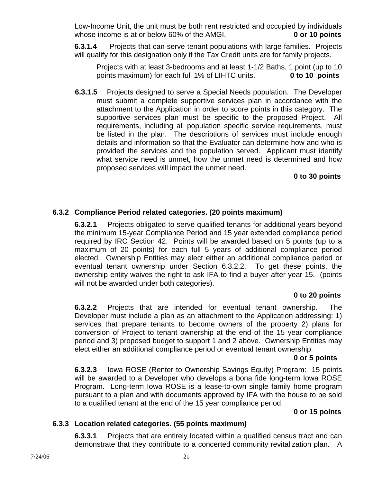Low-Income Unit, the unit must be both rent restricted and occupied by individuals whose income is at or below 60% of the AMGI. **0 or 10 points** 

**6.3.1.4** Projects that can serve tenant populations with large families. Projects will qualify for this designation only if the Tax Credit units are for family projects.

 Projects with at least 3-bedrooms and at least 1-1/2 Baths. 1 point (up to 10 points maximum) for each full 1% of LIHTC units. **0 to 10 points** 

 **6.3.1.5** Projects designed to serve a Special Needs population. The Developer must submit a complete supportive services plan in accordance with the attachment to the Application in order to score points in this category. The supportive services plan must be specific to the proposed Project. All requirements, including all population specific service requirements, must be listed in the plan. The descriptions of services must include enough details and information so that the Evaluator can determine how and who is provided the services and the population served. Applicant must identify what service need is unmet, how the unmet need is determined and how proposed services will impact the unmet need.

### **0 to 30 points**

# **6.3.2 Compliance Period related categories. (20 points maximum)**

 **6.3.2.1** Projects obligated to serve qualified tenants for additional years beyond the minimum 15-year Compliance Period and 15 year extended compliance period required by IRC Section 42. Points will be awarded based on 5 points (up to a maximum of 20 points) for each full 5 years of additional compliance period elected. Ownership Entities may elect either an additional compliance period or eventual tenant ownership under Section 6.3.2.2. To get these points, the ownership entity waives the right to ask IFA to find a buyer after year 15. (points will not be awarded under both categories).

### **0 to 20 points**

**6.3.2.2** Projects that are intended for eventual tenant ownership. The Developer must include a plan as an attachment to the Application addressing: 1) services that prepare tenants to become owners of the property 2) plans for conversion of Project to tenant ownership at the end of the 15 year compliance period and 3) proposed budget to support 1 and 2 above. Ownership Entities may elect either an additional compliance period or eventual tenant ownership.

#### **0 or 5 points**

**6.3.2.3** Iowa ROSE (Renter to Ownership Savings Equity) Program: 15 points will be awarded to a Developer who develops a bona fide long-term Iowa ROSE Program. Long-term Iowa ROSE is a lease-to-own single family home program pursuant to a plan and with documents approved by IFA with the house to be sold to a qualified tenant at the end of the 15 year compliance period.

### **0 or 15 points**

### **6.3.3 Location related categories. (55 points maximum)**

**6.3.3.1** Projects that are entirely located within a qualified census tract and can demonstrate that they contribute to a concerted community revitalization plan. A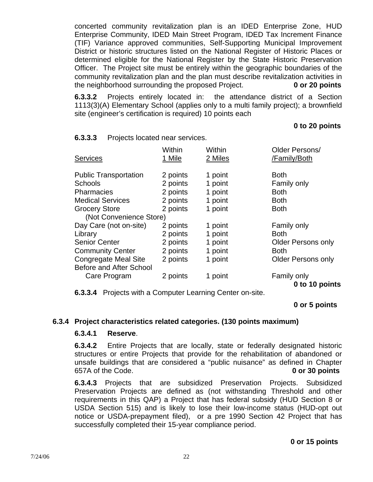concerted community revitalization plan is an IDED Enterprise Zone, HUD Enterprise Community, IDED Main Street Program, IDED Tax Increment Finance (TIF) Variance approved communities, Self-Supporting Municipal Improvement District or historic structures listed on the National Register of Historic Places or determined eligible for the National Register by the State Historic Preservation Officer. The Project site must be entirely within the geographic boundaries of the community revitalization plan and the plan must describe revitalization activities in the neighborhood surrounding the proposed Project. **0 or 20 points** 

**6.3.3.2** Projects entirely located in: the attendance district of a Section 1113(3)(A) Elementary School (applies only to a multi family project); a brownfield site (engineer's certification is required) 10 points each

### **0 to 20 points**

| <b>Services</b>                | Within<br>1 Mile | Within<br>2 Miles | Older Persons/<br>/Family/Both |
|--------------------------------|------------------|-------------------|--------------------------------|
| <b>Public Transportation</b>   | 2 points         | 1 point           | <b>Both</b>                    |
| <b>Schools</b>                 | 2 points         | 1 point           | Family only                    |
| <b>Pharmacies</b>              | 2 points         | 1 point           | <b>Both</b>                    |
| <b>Medical Services</b>        | 2 points         | 1 point           | <b>Both</b>                    |
| <b>Grocery Store</b>           | 2 points         | 1 point           | <b>Both</b>                    |
| (Not Convenience Store)        |                  |                   |                                |
| Day Care (not on-site)         | 2 points         | 1 point           | Family only                    |
| Library                        | 2 points         | 1 point           | <b>Both</b>                    |
| <b>Senior Center</b>           | 2 points         | 1 point           | <b>Older Persons only</b>      |
| <b>Community Center</b>        | 2 points         | 1 point           | <b>Both</b>                    |
| <b>Congregate Meal Site</b>    | 2 points         | 1 point           | <b>Older Persons only</b>      |
| <b>Before and After School</b> |                  |                   |                                |
| Care Program                   | 2 points         | 1 point           | Family only                    |
|                                |                  |                   | 0 to 10 points                 |

#### **6.3.3.3** Projects located near services.

**6.3.3.4** Projects with a Computer Learning Center on-site.

### **0 or 5 points**

### **6.3.4 Project characteristics related categories. (130 points maximum)**

#### **6.3.4.1 Reserve**.

**6.3.4.2** Entire Projects that are locally, state or federally designated historic structures or entire Projects that provide for the rehabilitation of abandoned or unsafe buildings that are considered a "public nuisance" as defined in Chapter 657A of the Code. **0 or 30 points** 

**6.3.4.3** Projects that are subsidized Preservation Projects. Subsidized Preservation Projects are defined as (not withstanding Threshold and other requirements in this QAP) a Project that has federal subsidy (HUD Section 8 or USDA Section 515) and is likely to lose their low-income status (HUD-opt out notice or USDA-prepayment filed), or a pre 1990 Section 42 Project that has successfully completed their 15-year compliance period.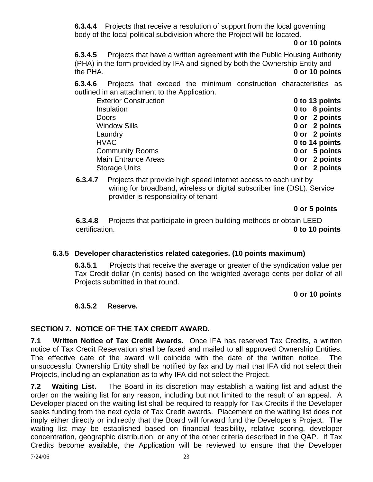**6.3.4.4** Projects that receive a resolution of support from the local governing body of the local political subdivision where the Project will be located.

### **0 or 10 points**

**6.3.4.5** Projects that have a written agreement with the Public Housing Authority (PHA) in the form provided by IFA and signed by both the Ownership Entity and the PHA. **0 or 10 points** 

**6.3.4.6** Projects that exceed the minimum construction characteristics as outlined in an attachment to the Application.

| <b>Exterior Construction</b> | 0 to 13 points |
|------------------------------|----------------|
| Insulation                   | 0 to 8 points  |
| <b>Doors</b>                 | 0 or 2 points  |
| <b>Window Sills</b>          | 0 or 2 points  |
| Laundry                      | 0 or 2 points  |
| <b>HVAC</b>                  | 0 to 14 points |
| <b>Community Rooms</b>       | 0 or 5 points  |
| <b>Main Entrance Areas</b>   | 0 or 2 points  |
| <b>Storage Units</b>         | 0 or 2 points  |

**6.3.4.7** Projects that provide high speed internet access to each unit by wiring for broadband, wireless or digital subscriber line (DSL). Service provider is responsibility of tenant

```
 0 or 5 points
```
**6.3.4.8** Projects that participate in green building methods or obtain LEED certification. **0 to 10 points**

# **6.3.5 Developer characteristics related categories. (10 points maximum)**

**6.3.5**.**1** Projects that receive the average or greater of the syndication value per Tax Credit dollar (in cents) based on the weighted average cents per dollar of all Projects submitted in that round.

# **0 or 10 points**

# **6.3.5.2 Reserve.**

# **SECTION 7. NOTICE OF THE TAX CREDIT AWARD.**

**7.1 Written Notice of Tax Credit Awards.** Once IFA has reserved Tax Credits, a written notice of Tax Credit Reservation shall be faxed and mailed to all approved Ownership Entities. The effective date of the award will coincide with the date of the written notice. The unsuccessful Ownership Entity shall be notified by fax and by mail that IFA did not select their Projects, including an explanation as to why IFA did not select the Project.

**7.2 Waiting List.** The Board in its discretion may establish a waiting list and adjust the order on the waiting list for any reason, including but not limited to the result of an appeal. A Developer placed on the waiting list shall be required to reapply for Tax Credits if the Developer seeks funding from the next cycle of Tax Credit awards. Placement on the waiting list does not imply either directly or indirectly that the Board will forward fund the Developer's Project. The waiting list may be established based on financial feasibility, relative scoring, developer concentration, geographic distribution, or any of the other criteria described in the QAP. If Tax Credits become available, the Application will be reviewed to ensure that the Developer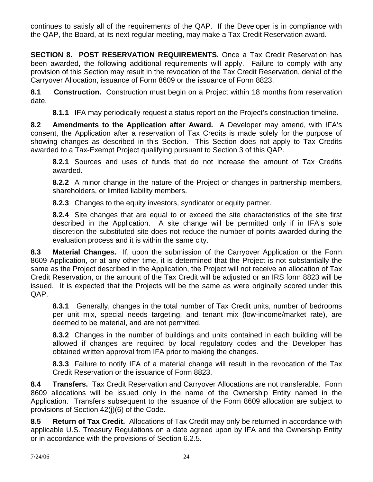continues to satisfy all of the requirements of the QAP. If the Developer is in compliance with the QAP, the Board, at its next regular meeting, may make a Tax Credit Reservation award.

**SECTION 8. POST RESERVATION REQUIREMENTS.** Once a Tax Credit Reservation has been awarded, the following additional requirements will apply. Failure to comply with any provision of this Section may result in the revocation of the Tax Credit Reservation, denial of the Carryover Allocation, issuance of Form 8609 or the issuance of Form 8823.

**8.1 Construction.** Construction must begin on a Project within 18 months from reservation date.

**8.1.1** IFA may periodically request a status report on the Project's construction timeline.

**8.2 Amendments to the Application after Award.** A Developer may amend, with IFA's consent, the Application after a reservation of Tax Credits is made solely for the purpose of showing changes as described in this Section. This Section does not apply to Tax Credits awarded to a Tax-Exempt Project qualifying pursuant to Section 3 of this QAP.

**8.2.1** Sources and uses of funds that do not increase the amount of Tax Credits awarded.

**8.2.2** A minor change in the nature of the Project or changes in partnership members, shareholders, or limited liability members.

**8.2.3** Changes to the equity investors, syndicator or equity partner.

**8.2.4** Site changes that are equal to or exceed the site characteristics of the site first described in the Application. A site change will be permitted only if in IFA's sole discretion the substituted site does not reduce the number of points awarded during the evaluation process and it is within the same city.

**8.3 Material Changes.** If, upon the submission of the Carryover Application or the Form 8609 Application, or at any other time, it is determined that the Project is not substantially the same as the Project described in the Application, the Project will not receive an allocation of Tax Credit Reservation, or the amount of the Tax Credit will be adjusted or an IRS form 8823 will be issued. It is expected that the Projects will be the same as were originally scored under this QAP.

**8.3.1** Generally, changes in the total number of Tax Credit units, number of bedrooms per unit mix, special needs targeting, and tenant mix (low-income/market rate), are deemed to be material, and are not permitted.

**8.3.2** Changes in the number of buildings and units contained in each building will be allowed if changes are required by local regulatory codes and the Developer has obtained written approval from IFA prior to making the changes.

**8.3.3** Failure to notify IFA of a material change will result in the revocation of the Tax Credit Reservation or the issuance of Form 8823.

**8.4 Transfers.** Tax Credit Reservation and Carryover Allocations are not transferable. Form 8609 allocations will be issued only in the name of the Ownership Entity named in the Application. Transfers subsequent to the issuance of the Form 8609 allocation are subject to provisions of Section 42(j)(6) of the Code.

**8.5 Return of Tax Credit.** Allocations of Tax Credit may only be returned in accordance with applicable U.S. Treasury Regulations on a date agreed upon by IFA and the Ownership Entity or in accordance with the provisions of Section 6.2.5.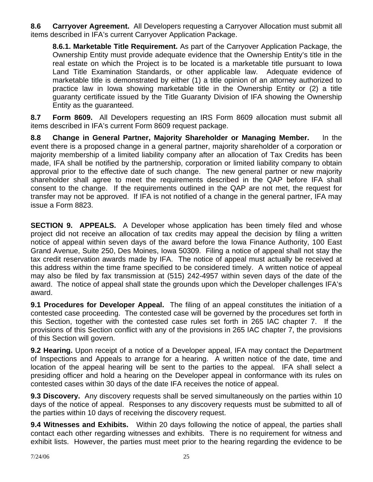**8.6 Carryover Agreement.** All Developers requesting a Carryover Allocation must submit all items described in IFA's current Carryover Application Package.

**8.6.1. Marketable Title Requirement.** As part of the Carryover Application Package, the Ownership Entity must provide adequate evidence that the Ownership Entity's title in the real estate on which the Project is to be located is a marketable title pursuant to Iowa Land Title Examination Standards, or other applicable law. Adequate evidence of marketable title is demonstrated by either (1) a title opinion of an attorney authorized to practice law in Iowa showing marketable title in the Ownership Entity or (2) a title guaranty certificate issued by the Title Guaranty Division of IFA showing the Ownership Entity as the guaranteed.

**8.7 Form 8609.** All Developers requesting an IRS Form 8609 allocation must submit all items described in IFA's current Form 8609 request package.

**8.8 Change in General Partner, Majority Shareholder or Managing Member.** In the event there is a proposed change in a general partner, majority shareholder of a corporation or majority membership of a limited liability company after an allocation of Tax Credits has been made, IFA shall be notified by the partnership, corporation or limited liability company to obtain approval prior to the effective date of such change. The new general partner or new majority shareholder shall agree to meet the requirements described in the QAP before IFA shall consent to the change. If the requirements outlined in the QAP are not met, the request for transfer may not be approved. If IFA is not notified of a change in the general partner, IFA may issue a Form 8823.

**SECTION 9. APPEALS.** A Developer whose application has been timely filed and whose project did not receive an allocation of tax credits may appeal the decision by filing a written notice of appeal within seven days of the award before the Iowa Finance Authority, 100 East Grand Avenue, Suite 250, Des Moines, Iowa 50309. Filing a notice of appeal shall not stay the tax credit reservation awards made by IFA. The notice of appeal must actually be received at this address within the time frame specified to be considered timely. A written notice of appeal may also be filed by fax transmission at (515) 242-4957 within seven days of the date of the award. The notice of appeal shall state the grounds upon which the Developer challenges IFA's award.

**9.1 Procedures for Developer Appeal.** The filing of an appeal constitutes the initiation of a contested case proceeding. The contested case will be governed by the procedures set forth in this Section, together with the contested case rules set forth in 265 IAC chapter 7. If the provisions of this Section conflict with any of the provisions in 265 IAC chapter 7, the provisions of this Section will govern.

**9.2 Hearing.** Upon receipt of a notice of a Developer appeal, IFA may contact the Department of Inspections and Appeals to arrange for a hearing. A written notice of the date, time and location of the appeal hearing will be sent to the parties to the appeal. IFA shall select a presiding officer and hold a hearing on the Developer appeal in conformance with its rules on contested cases within 30 days of the date IFA receives the notice of appeal.

**9.3 Discovery.** Any discovery requests shall be served simultaneously on the parties within 10 days of the notice of appeal. Responses to any discovery requests must be submitted to all of the parties within 10 days of receiving the discovery request.

**9.4 Witnesses and Exhibits.** Within 20 days following the notice of appeal, the parties shall contact each other regarding witnesses and exhibits. There is no requirement for witness and exhibit lists. However, the parties must meet prior to the hearing regarding the evidence to be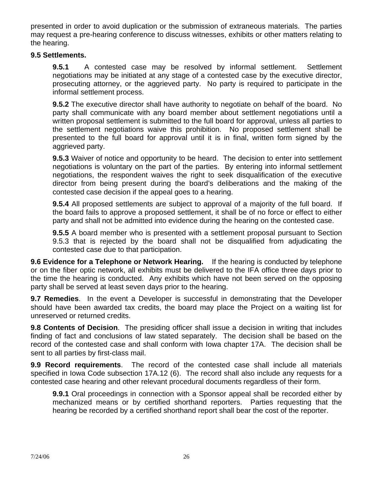presented in order to avoid duplication or the submission of extraneous materials. The parties may request a pre-hearing conference to discuss witnesses, exhibits or other matters relating to the hearing.

### **9.5 Settlements.**

**9.5.1** A contested case may be resolved by informal settlement. Settlement negotiations may be initiated at any stage of a contested case by the executive director, prosecuting attorney, or the aggrieved party. No party is required to participate in the informal settlement process.

**9.5.2** The executive director shall have authority to negotiate on behalf of the board. No party shall communicate with any board member about settlement negotiations until a written proposal settlement is submitted to the full board for approval, unless all parties to the settlement negotiations waive this prohibition. No proposed settlement shall be presented to the full board for approval until it is in final, written form signed by the aggrieved party.

**9.5.3** Waiver of notice and opportunity to be heard. The decision to enter into settlement negotiations is voluntary on the part of the parties. By entering into informal settlement negotiations, the respondent waives the right to seek disqualification of the executive director from being present during the board's deliberations and the making of the contested case decision if the appeal goes to a hearing.

**9.5.4** All proposed settlements are subject to approval of a majority of the full board. If the board fails to approve a proposed settlement, it shall be of no force or effect to either party and shall not be admitted into evidence during the hearing on the contested case.

**9.5.5** A board member who is presented with a settlement proposal pursuant to Section 9.5.3 that is rejected by the board shall not be disqualified from adjudicating the contested case due to that participation.

**9.6 Evidence for a Telephone or Network Hearing.** If the hearing is conducted by telephone or on the fiber optic network, all exhibits must be delivered to the IFA office three days prior to the time the hearing is conducted. Any exhibits which have not been served on the opposing party shall be served at least seven days prior to the hearing.

**9.7 Remedies**. In the event a Developer is successful in demonstrating that the Developer should have been awarded tax credits, the board may place the Project on a waiting list for unreserved or returned credits.

**9.8 Contents of Decision**. The presiding officer shall issue a decision in writing that includes finding of fact and conclusions of law stated separately. The decision shall be based on the record of the contested case and shall conform with Iowa chapter 17A. The decision shall be sent to all parties by first-class mail.

**9.9 Record requirements**. The record of the contested case shall include all materials specified in Iowa Code subsection 17A.12 (6). The record shall also include any requests for a contested case hearing and other relevant procedural documents regardless of their form.

**9.9.1** Oral proceedings in connection with a Sponsor appeal shall be recorded either by mechanized means or by certified shorthand reporters. Parties requesting that the hearing be recorded by a certified shorthand report shall bear the cost of the reporter.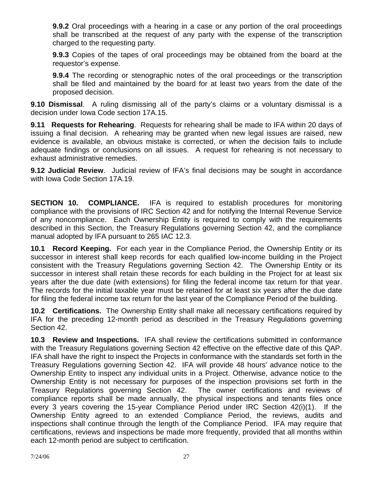**9.9.2** Oral proceedings with a hearing in a case or any portion of the oral proceedings shall be transcribed at the request of any party with the expense of the transcription charged to the requesting party.

**9.9.3** Copies of the tapes of oral proceedings may be obtained from the board at the requestor's expense.

**9.9.4** The recording or stenographic notes of the oral proceedings or the transcription shall be filed and maintained by the board for at least two years from the date of the proposed decision.

**9.10 Dismissal**. A ruling dismissing all of the party's claims or a voluntary dismissal is a decision under Iowa Code section 17A.15.

**9.11 Requests for Rehearing**. Requests for rehearing shall be made to IFA within 20 days of issuing a final decision. A rehearing may be granted when new legal issues are raised, new evidence is available, an obvious mistake is corrected, or when the decision fails to include adequate findings or conclusions on all issues. A request for rehearing is not necessary to exhaust administrative remedies.

**9.12 Judicial Review**. Judicial review of IFA's final decisions may be sought in accordance with Iowa Code Section 17A.19.

**SECTION 10. COMPLIANCE.** IFA is required to establish procedures for monitoring compliance with the provisions of IRC Section 42 and for notifying the Internal Revenue Service of any noncompliance. Each Ownership Entity is required to comply with the requirements described in this Section, the Treasury Regulations governing Section 42, and the compliance manual adopted by IFA pursuant to 265 IAC 12.3.

**10.1 Record Keeping.** For each year in the Compliance Period, the Ownership Entity or its successor in interest shall keep records for each qualified low-income building in the Project consistent with the Treasury Regulations governing Section 42. The Ownership Entity or its successor in interest shall retain these records for each building in the Project for at least six years after the due date (with extensions) for filing the federal income tax return for that year. The records for the initial taxable year must be retained for at least six years after the due date for filing the federal income tax return for the last year of the Compliance Period of the building.

**10.2 Certifications.** The Ownership Entity shall make all necessary certifications required by IFA for the preceding 12-month period as described in the Treasury Regulations governing Section 42.

**10.3 Review and Inspections.** IFA shall review the certifications submitted in conformance with the Treasury Regulations governing Section 42 effective on the effective date of this QAP. IFA shall have the right to inspect the Projects in conformance with the standards set forth in the Treasury Regulations governing Section 42. IFA will provide 48 hours' advance notice to the Ownership Entity to inspect any individual units in a Project. Otherwise, advance notice to the Ownership Entity is not necessary for purposes of the inspection provisions set forth in the Treasury Regulations governing Section 42. The owner certifications and reviews of compliance reports shall be made annually, the physical inspections and tenants files once every 3 years covering the 15-year Compliance Period under IRC Section 42(i)(1). If the Ownership Entity agreed to an extended Compliance Period, the reviews, audits and inspections shall continue through the length of the Compliance Period. IFA may require that certifications, reviews and inspections be made more frequently, provided that all months within each 12-month period are subject to certification.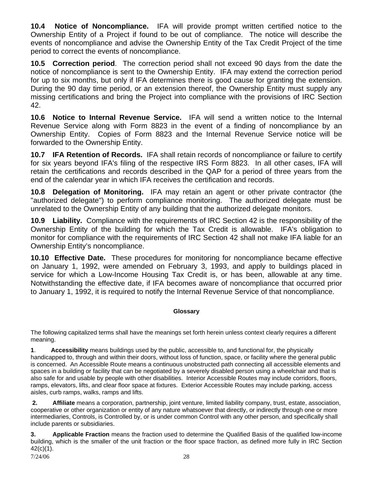**10.4 Notice of Noncompliance.** IFA will provide prompt written certified notice to the Ownership Entity of a Project if found to be out of compliance. The notice will describe the events of noncompliance and advise the Ownership Entity of the Tax Credit Project of the time period to correct the events of noncompliance.

**10.5 Correction period**. The correction period shall not exceed 90 days from the date the notice of noncompliance is sent to the Ownership Entity. IFA may extend the correction period for up to six months, but only if IFA determines there is good cause for granting the extension. During the 90 day time period, or an extension thereof, the Ownership Entity must supply any missing certifications and bring the Project into compliance with the provisions of IRC Section 42.

**10.6 Notice to Internal Revenue Service.** IFA will send a written notice to the Internal Revenue Service along with Form 8823 in the event of a finding of noncompliance by an Ownership Entity. Copies of Form 8823 and the Internal Revenue Service notice will be forwarded to the Ownership Entity.

**10.7 IFA Retention of Records.** IFA shall retain records of noncompliance or failure to certify for six years beyond IFA's filing of the respective IRS Form 8823. In all other cases, IFA will retain the certifications and records described in the QAP for a period of three years from the end of the calendar year in which IFA receives the certification and records.

**10.8 Delegation of Monitoring.** IFA may retain an agent or other private contractor (the "authorized delegate") to perform compliance monitoring. The authorized delegate must be unrelated to the Ownership Entity of any building that the authorized delegate monitors.

**10.9 Liability.** Compliance with the requirements of IRC Section 42 is the responsibility of the Ownership Entity of the building for which the Tax Credit is allowable. IFA's obligation to monitor for compliance with the requirements of IRC Section 42 shall not make IFA liable for an Ownership Entity's noncompliance.

**10.10 Effective Date.** These procedures for monitoring for noncompliance became effective on January 1, 1992, were amended on February 3, 1993, and apply to buildings placed in service for which a Low-Income Housing Tax Credit is, or has been, allowable at any time. Notwithstanding the effective date, if IFA becomes aware of noncompliance that occurred prior to January 1, 1992, it is required to notify the Internal Revenue Service of that noncompliance.

### **Glossary**

The following capitalized terms shall have the meanings set forth herein unless context clearly requires a different meaning.

**1**. **Accessibility** means buildings used by the public, accessible to, and functional for, the physically handicapped to, through and within their doors, without loss of function, space, or facility where the general public is concerned. An Accessible Route means a continuous unobstructed path connecting all accessible elements and spaces in a building or facility that can be negotiated by a severely disabled person using a wheelchair and that is also safe for and usable by people with other disabilities. Interior Accessible Routes may include corridors, floors, ramps, elevators, lifts, and clear floor space at fixtures. Exterior Accessible Routes may include parking, access aisles, curb ramps, walks, ramps and lifts.

**2. Affiliate** means a corporation, partnership, joint venture, limited liability company, trust, estate, association, cooperative or other organization or entity of any nature whatsoever that directly, or indirectly through one or more intermediaries, Controls, is Controlled by, or is under common Control with any other person, and specifically shall include parents or subsidiaries.

7/24/06 28 **3. Applicable Fraction** means the fraction used to determine the Qualified Basis of the qualified low-income building, which is the smaller of the unit fraction or the floor space fraction, as defined more fully in IRC Section 42(c)(1).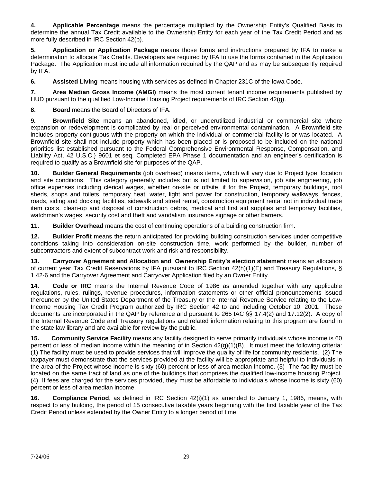**4. Applicable Percentage** means the percentage multiplied by the Ownership Entity's Qualified Basis to determine the annual Tax Credit available to the Ownership Entity for each year of the Tax Credit Period and as more fully described in IRC Section 42(b).

**5. Application or Application Package** means those forms and instructions prepared by IFA to make a determination to allocate Tax Credits. Developers are required by IFA to use the forms contained in the Application Package. The Application must include all information required by the QAP and as may be subsequently required by IFA.

**6.** Assisted Living means housing with services as defined in Chapter 231C of the Iowa Code.

**7. Area Median Gross Income (AMGI)** means the most current tenant income requirements published by HUD pursuant to the qualified Low-Income Housing Project requirements of IRC Section 42(g).

**8. Board** means the Board of Directors of IFA.

**9. Brownfield Site** means an abandoned, idled, or underutilized industrial or commercial site where expansion or redevelopment is complicated by real or perceived environmental contamination. A Brownfield site includes property contiguous with the property on which the individual or commercial facility is or was located. A Brownfield site shall not include property which has been placed or is proposed to be included on the national priorities list established pursuant to the Federal Comprehensive Environmental Response, Compensation, and Liability Act, 42 U.S.C.} 9601 et seq. Completed EPA Phase 1 documentation and an engineer's certification is required to qualify as a Brownfield site for purposes of the QAP.

**10. Builder General Requirements** (job overhead) means items, which will vary due to Project type, location and site conditions. This category generally includes but is not limited to supervision, job site engineering, job office expenses including clerical wages, whether on-site or offsite, if for the Project, temporary buildings, tool sheds, shops and toilets, temporary heat, water, light and power for construction, temporary walkways, fences, roads, siding and docking facilities, sidewalk and street rental, construction equipment rental not in individual trade item costs, clean-up and disposal of construction debris, medical and first aid supplies and temporary facilities, watchman's wages, security cost and theft and vandalism insurance signage or other barriers.

**11. Builder Overhead** means the cost of continuing operations of a building construction firm.

**12. Builder Profit** means the return anticipated for providing building construction services under competitive conditions taking into consideration on-site construction time, work performed by the builder, number of subcontractors and extent of subcontract work and risk and responsibility.

**13. Carryover Agreement and Allocation and Ownership Entity's election statement** means an allocation of current year Tax Credit Reservations by IFA pursuant to IRC Section 42(h)(1)(E) and Treasury Regulations, § 1.42-6 and the Carryover Agreement and Carryover Application filed by an Owner Entity.

**14. Code or IRC** means the Internal Revenue Code of 1986 as amended together with any applicable regulations, rules, rulings, revenue procedures, information statements or other official pronouncements issued thereunder by the United States Department of the Treasury or the Internal Revenue Service relating to the Low-Income Housing Tax Credit Program authorized by IRC Section 42 to and including October 10, 2001. These documents are incorporated in the QAP by reference and pursuant to 265 IAC §§ 17.4(2) and 17.12(2). A copy of the Internal Revenue Code and Treasury regulations and related information relating to this program are found in the state law library and are available for review by the public.

**15. Community Service Facility** means any facility designed to serve primarily individuals whose income is 60 percent or less of median income within the meaning of in Section 42(g)(1)(B). It must meet the following criteria: (1) The facility must be used to provide services that will improve the quality of life for community residents. (2) The taxpayer must demonstrate that the services provided at the facility will be appropriate and helpful to individuals in the area of the Project whose income is sixty (60) percent or less of area median income. (3) The facility must be located on the same tract of land as one of the buildings that comprises the qualified low-income housing Project. (4) If fees are charged for the services provided, they must be affordable to individuals whose income is sixty (60) percent or less of area median income.

**16. Compliance Period**, as defined in IRC Section 42(i)(1) as amended to January 1, 1986, means, with respect to any building, the period of 15 consecutive taxable years beginning with the first taxable year of the Tax Credit Period unless extended by the Owner Entity to a longer period of time.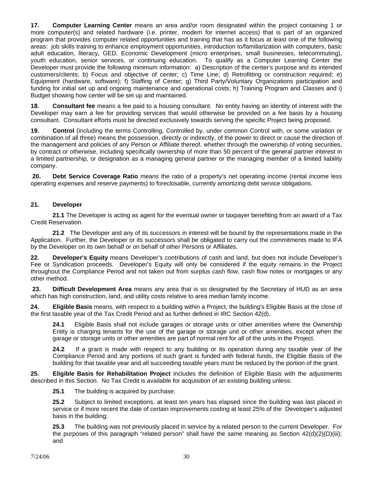**17. Computer Learning Center** means an area and/or room designated within the project containing 1 or more computer(s) and related hardware (i.e. printer, modem for internet access) that is part of an organized program that provides computer related opportunities and training that has as it focus at least one of the following areas: job skills training to enhance employment opportunities, introduction to/familiarization with computers, basic adult education, literacy, GED, Economic Development (micro enterprises, small businesses, telecommuting), youth education, senior services, or continuing education. To qualify as a Computer Learning Center the Developer must provide the following minimum information: a) Description of the center's purpose and its intended customers/clients; b) Focus and objective of center; c) Time Line; d) Retrofitting or construction required; e) Equipment (hardware, software); f) Staffing of Center; g) Third Party/Voluntary Organizations participation and funding for initial set up and ongoing maintenance and operational costs; h) Training Program and Classes and i) Budget showing how center will be set up and maintained.

**18. Consultant fee** means a fee paid to a housing consultant. No entity having an identity of interest with the Developer may earn a fee for providing services that would otherwise be provided on a fee basis by a housing consultant. Consultant efforts must be directed exclusively towards serving the specific Project being proposed.

**19. Control** (including the terms Controlling, Controlled by, under common Control with, or some variation or combination of all three) means the possession, directly or indirectly, of the power to direct or cause the direction of the management and policies of any Person or Affiliate thereof, whether through the ownership of voting securities, by contract or otherwise, including specifically ownership of more than 50 percent of the general partner interest in a limited partnership, or designation as a managing general partner or the managing member of a limited liability company.

**20. Debt Service Coverage Ratio** means the ratio of a property's net operating income (rental income less operating expenses and reserve payments) to foreclosable, currently amortizing debt service obligations.

#### **21. Developer**

**21.1** The Developer is acting as agent for the eventual owner or taxpayer benefiting from an award of a Tax Credit Reservation.

**21.2** The Developer and any of its successors in interest will be bound by the representations made in the Application. Further, the Developer or its successors shall be obligated to carry out the commitments made to IFA by the Developer on its own behalf or on behalf of other Persons or Affiliates.

**22. Developer's Equity** means Developer's contributions of cash and land, but does not include Developer's Fee or Syndication proceeds. Developer's Equity will only be considered if the equity remains in the Project throughout the Compliance Period and not taken out from surplus cash flow, cash flow notes or mortgages or any other method.

**23. Difficult Development Area** means any area that is so designated by the Secretary of HUD as an area which has high construction, land, and utility costs relative to area median family income.

**24. Eligible Basis** means, with respect to a building within a Project, the building's Eligible Basis at the close of the first taxable year of the Tax Credit Period and as further defined in IRC Section 42(d).

**24.1** Eligible Basis shall not include garages or storage units or other amenities where the Ownership Entity is charging tenants for the use of the garage or storage unit or other amenities, except when the garage or storage units or other amenities are part of normal rent for all of the units in the Project.

**24.2** If a grant is made with respect to any building or its operation during any taxable year of the Compliance Period and any portions of such grant is funded with federal funds, the Eligible Basis of the building for that taxable year and all succeeding taxable years must be reduced by the portion of the grant.

**25. Eligible Basis for Rehabilitation Project** includes the definition of Eligible Basis with the adjustments described in this Section. No Tax Credit is available for acquisition of an existing building unless:

**25.1** The building is acquired by purchase;

**25.2** Subject to limited exceptions, at least ten years has elapsed since the building was last placed in service or if more recent the date of certain improvements costing at least 25% of the Developer's adjusted basis in the building;

**25.3** The building was not previously placed in service by a related person to the current Developer. For the purposes of this paragraph "related person" shall have the same meaning as Section  $42(d)(2)(D)(iii)$ ; and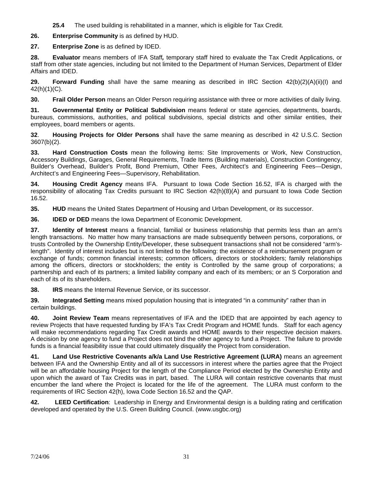**25.4** The used building is rehabilitated in a manner, which is eligible for Tax Credit.

**26. Enterprise Community** is as defined by HUD.

**27. Enterprise Zone** is as defined by IDED.

**28. Evaluator** means members of IFA Staff*,* temporary staff hired to evaluate the Tax Credit Applications, or staff from other state agencies, including but not limited to the Department of Human Services, Department of Elder Affairs and IDED.

**29. Forward Funding** shall have the same meaning as described in IRC Section 42(b)(2)(A)(ii)(I) and 42(h)(1)(C).

**30. Frail Older Person** means an Older Person requiring assistance with three or more activities of daily living.

**31. Governmental Entity or Political Subdivision** means federal or state agencies, departments, boards, bureaus, commissions, authorities, and political subdivisions, special districts and other similar entities, their employees, board members or agents.

**32**. **Housing Projects for Older Persons** shall have the same meaning as described in 42 U.S.C. Section 3607(b)(2).

**33. Hard Construction Costs** mean the following items: Site Improvements or Work, New Construction, Accessory Buildings, Garages, General Requirements, Trade Items (Building materials), Construction Contingency, Builder's Overhead, Builder's Profit, Bond Premium, Other Fees, Architect's and Engineering Fees—Design, Architect's and Engineering Fees—Supervisory, Rehabilitation.

**34. Housing Credit Agency** means IFA. Pursuant to Iowa Code Section 16.52, IFA is charged with the responsibility of allocating Tax Credits pursuant to IRC Section 42(h)(8)(A) and pursuant to Iowa Code Section 16.52.

**35. HUD** means the United States Department of Housing and Urban Development, or its successor.

**36. IDED or DED** means the Iowa Department of Economic Development.

**37. Identity of Interest** means a financial, familial or business relationship that permits less than an arm's length transactions. No matter how many transactions are made subsequently between persons, corporations, or trusts Controlled by the Ownership Entity/Developer, these subsequent transactions shall not be considered "arm'slength". Identity of interest includes but is not limited to the following: the existence of a reimbursement program or exchange of funds; common financial interests; common officers, directors or stockholders; family relationships among the officers, directors or stockholders; the entity is Controlled by the same group of corporations; a partnership and each of its partners; a limited liability company and each of its members; or an S Corporation and each of its of its shareholders.

**38. IRS** means the Internal Revenue Service, or its successor.

**39. Integrated Setting** means mixed population housing that is integrated "in a community" rather than in certain buildings.

**40. Joint Review Team** means representatives of IFA and the IDED that are appointed by each agency to review Projects that have requested funding by IFA's Tax Credit Program and HOME funds. Staff for each agency will make recommendations regarding Tax Credit awards and HOME awards to their respective decision makers. A decision by one agency to fund a Project does not bind the other agency to fund a Project. The failure to provide funds is a financial feasibility issue that could ultimately disqualify the Project from consideration.

**41. Land Use Restrictive Covenants a/k/a Land Use Restrictive Agreement (LURA)** means an agreement between IFA and the Ownership Entity and all of its successors in interest where the parties agree that the Project will be an affordable housing Project for the length of the Compliance Period elected by the Ownership Entity and upon which the award of Tax Credits was in part, based. The LURA will contain restrictive covenants that must encumber the land where the Project is located for the life of the agreement. The LURA must conform to the requirements of IRC Section 42(h), Iowa Code Section 16.52 and the QAP.

**42. LEED Certification**: Leadership in Energy and Environmental design is a building rating and certification developed and operated by the U.S. Green Building Council. (www.usgbc.org)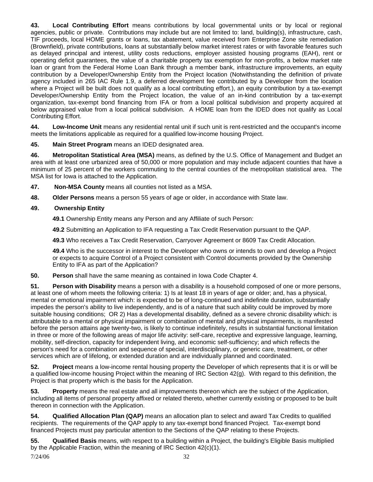**43. Local Contributing Effort** means contributions by local governmental units or by local or regional agencies, public or private. Contributions may include but are not limited to: land, building(s), infrastructure, cash, TIF proceeds, local HOME grants or loans, tax abatement, value received from Enterprise Zone site remediation (Brownfield), private contributions, loans at substantially below market interest rates or with favorable features such as delayed principal and interest, utility costs reductions, employer assisted housing programs (EAH), rent or operating deficit guarantees, the value of a charitable property tax exemption for non-profits, a below market rate loan or grant from the Federal Home Loan Bank through a member bank, infrastructure improvements, an equity contribution by a Developer/Ownership Entity from the Project location (Notwithstanding the definition of private agency included in 265 IAC Rule 1.9, a deferred development fee contributed by a Developer from the location where a Project will be built does not qualify as a local contributing effort.), an equity contribution by a tax-exempt Developer/Ownership Entity from the Project location, the value of an in-kind contribution by a tax-exempt organization, tax-exempt bond financing from IFA or from a local political subdivision and property acquired at below appraised value from a local political subdivision. A HOME loan from the IDED does not qualify as Local Contributing Effort.

**44. Low-Income Unit** means any residential rental unit if such unit is rent-restricted and the occupant's income meets the limitations applicable as required for a qualified low-income housing Project.

**45. Main Street Program** means an IDED designated area.

**46. Metropolitan Statistical Area (MSA)** means, as defined by the U.S. Office of Management and Budget an area with at least one urbanized area of 50,000 or more population and may include adjacent counties that have a minimum of 25 percent of the workers commuting to the central counties of the metropolitan statistical area. The MSA list for Iowa is attached to the Application.

- **47. Non-MSA County** means all counties not listed as a MSA.
- **48. Older Persons** means a person 55 years of age or older, in accordance with State law.

#### **49. Ownership Entity**

**49.1** Ownership Entity means any Person and any Affiliate of such Person:

**49.2** Submitting an Application to IFA requesting a Tax Credit Reservation pursuant to the QAP.

**49.3** Who receives a Tax Credit Reservation, Carryover Agreement or 8609 Tax Credit Allocation.

**49.4** Who is the successor in interest to the Developer who owns or intends to own and develop a Project or expects to acquire Control of a Project consistent with Control documents provided by the Ownership Entity to IFA as part of the Application?

**50. Person** shall have the same meaning as contained in Iowa Code Chapter 4.

**51. Person with Disability** means a person with a disability is a household composed of one or more persons, at least one of whom meets the following criteria: 1) Is at least 18 in years of age or older; and, has a physical, mental or emotional impairment which: is expected to be of long-continued and indefinite duration, substantially impedes the person's ability to live independently, and is of a nature that such ability could be improved by more suitable housing conditions; OR 2) Has a developmental disability, defined as a severe chronic disability which: is attributable to a mental or physical impairment or combination of mental and physical impairments, is manifested before the person attains age twenty-two, is likely to continue indefinitely, results in substantial functional limitation in three or more of the following areas of major life activity: self-care, receptive and expressive language, learning, mobility, self-direction, capacity for independent living, and economic self-sufficiency; and which reflects the person's need for a combination and sequence of special, interdisciplinary, or generic care, treatment, or other services which are of lifelong, or extended duration and are individually planned and coordinated.

**52. Project** means a low-income rental housing property the Developer of which represents that it is or will be a qualified low-income housing Project within the meaning of IRC Section 42(g). With regard to this definition, the Project is that property which is the basis for the Application.

**53. Property** means the real estate and all improvements thereon which are the subject of the Application, including all items of personal property affixed or related thereto, whether currently existing or proposed to be built thereon in connection with the Application.

**54. Qualified Allocation Plan (QAP)** means an allocation plan to select and award Tax Credits to qualified recipients. The requirements of the QAP apply to any tax-exempt bond financed Project. Tax-exempt bond financed Projects must pay particular attention to the Sections of the QAP relating to these Projects.

**55. Qualified Basis** means, with respect to a building within a Project, the building's Eligible Basis multiplied by the Applicable Fraction, within the meaning of IRC Section 42(c)(1).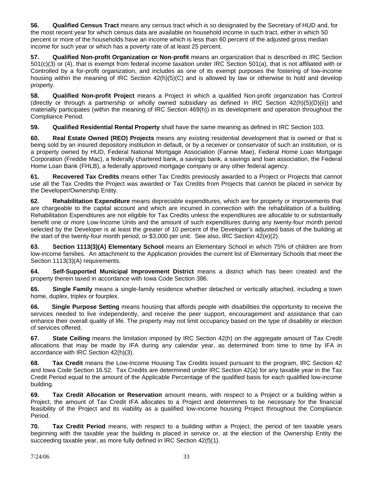**56. Qualified Census Tract** means any census tract which is so designated by the Secretary of HUD and, for the most recent year for which census data are available on household income in such tract, either in which 50 percent or more of the households have an income which is less than 60 percent of the adjusted gross median income for such year or which has a poverty rate of at least 25 percent.

**57. Qualified Non-profit Organization or Non-profit** means an organization that is described in IRC Section 501(c)(3) or (4), that is exempt from federal income taxation under IRC Section 501(a), that is not affiliated with or Controlled by a for-profit organization, and includes as one of its exempt purposes the fostering of low-income housing within the meaning of IRC Section 42(h)(5)(C) and is allowed by law or otherwise to hold and develop property.

**58. Qualified Non-profit Project** means a Project in which a qualified Non-profit organization has Control (directly or through a partnership or wholly owned subsidiary as defined in IRC Section 42(h)(5)(D)(ii)) and materially participates (within the meaning of IRC Section 469(h)) in its development and operation throughout the Compliance Period.

**59. Qualified Residential Rental Property** shall have the same meaning as defined in IRC Section 103.

**60. Real Estate Owned (REO) Projects** means any existing residential development that is owned or that is being sold by an insured depository institution in default, or by a receiver or conservator of such an institution, or is a property owned by HUD, Federal National Mortgage Association (Fannie Mae), Federal Home Loan Mortgage Corporation (Freddie Mac), a federally chartered bank, a savings bank, a savings and loan association, the Federal Home Loan Bank (FHLB), a federally approved mortgage company or any other federal agency.

**61. Recovered Tax Credits** means either Tax Credits previously awarded to a Project or Projects that cannot use all the Tax Credits the Project was awarded or Tax Credits from Projects that cannot be placed in service by the Developer/Ownership Entity.

**62. Rehabilitation Expenditure** means depreciable expenditures, which are for property or improvements that are chargeable to the capital account and which are incurred in connection with the rehabilitation of a building. Rehabilitation Expenditures are not eligible for Tax Credits unless the expenditures are allocable to or substantially benefit one or more Low-Income Units and the amount of such expenditures during any twenty-four month period selected by the Developer is at least the greater of 10 percent of the Developer's adjusted basis of the building at the start of the twenty-four month period, or \$3,000 per unit. See also, IRC Section 42(e)(2).

**63. Section 1113(3)(A) Elementary School** means an Elementary School in which 75% of children are from low-income families. An attachment to the Application provides the current list of Elementary Schools that meet the Section 1113(3)(A) requirements.

**64. Self-Supported Municipal Improvement District** means a district which has been created and the property therein taxed in accordance with Iowa Code Section 386.

**65. Single Family** means a single-family residence whether detached or vertically attached, including a town home, duplex, triplex or fourplex.

**66. Single Purpose Setting** means housing that affords people with disabilities the opportunity to receive the services needed to live independently, and receive the peer support, encouragement and assistance that can enhance their overall quality of life. The property may not limit occupancy based on the type of disability or election of services offered.

**67. State Ceiling** means the limitation imposed by IRC Section 42(h) on the aggregate amount of Tax Credit allocations that may be made by IFA during any calendar year, as determined from time to time by IFA in accordance with IRC Section 42(h)(3).

**68. Tax Credit** means the Low-Income Housing Tax Credits issued pursuant to the program, IRC Section 42 and Iowa Code Section 16.52. Tax Credits are determined under IRC Section 42(a) for any taxable year in the Tax Credit Period equal to the amount of the Applicable Percentage of the qualified basis for each qualified low-income building.

**69. Tax Credit Allocation or Reservation** amount means, with respect to a Project or a building within a Project, the amount of Tax Credit IFA allocates to a Project and determines to be necessary for the financial feasibility of the Project and its viability as a qualified low-income housing Project throughout the Compliance Period.

**70. Tax Credit Period** means, with respect to a building within a Project, the period of ten taxable years beginning with the taxable year the building is placed in service or, at the election of the Ownership Entity the succeeding taxable year, as more fully defined in IRC Section 42(f)(1).